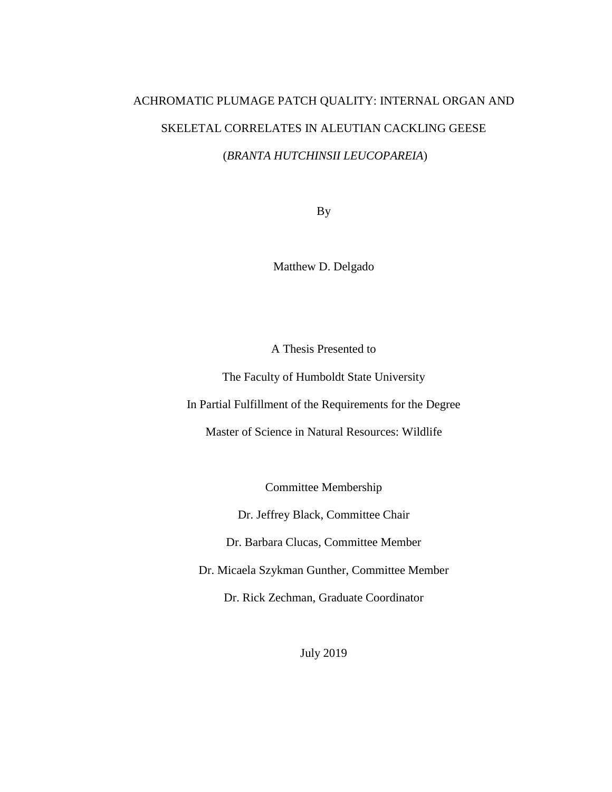# ACHROMATIC PLUMAGE PATCH QUALITY: INTERNAL ORGAN AND SKELETAL CORRELATES IN ALEUTIAN CACKLING GEESE (*BRANTA HUTCHINSII LEUCOPAREIA*)

By

Matthew D. Delgado

A Thesis Presented to

The Faculty of Humboldt State University

In Partial Fulfillment of the Requirements for the Degree

Master of Science in Natural Resources: Wildlife

Committee Membership

Dr. Jeffrey Black, Committee Chair

Dr. Barbara Clucas, Committee Member

Dr. Micaela Szykman Gunther, Committee Member

Dr. Rick Zechman, Graduate Coordinator

July 2019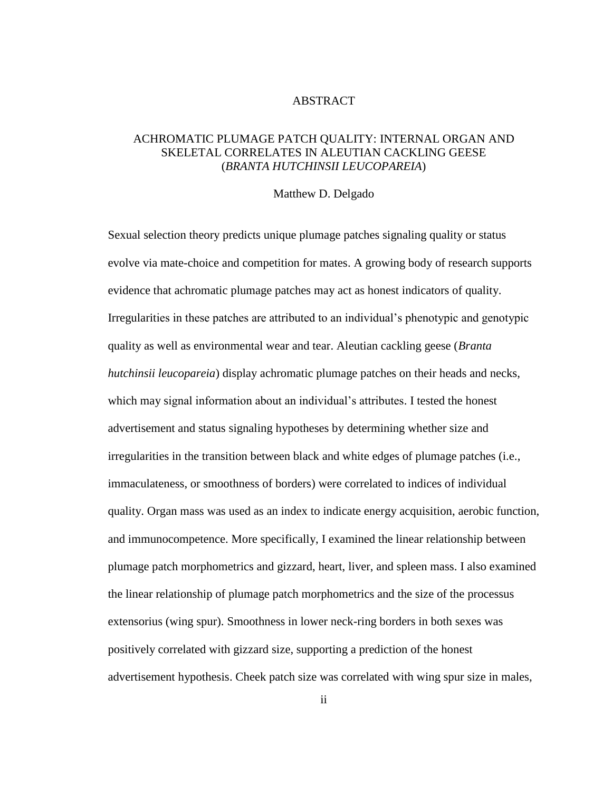#### ABSTRACT

## ACHROMATIC PLUMAGE PATCH QUALITY: INTERNAL ORGAN AND SKELETAL CORRELATES IN ALEUTIAN CACKLING GEESE (*BRANTA HUTCHINSII LEUCOPAREIA*)

#### Matthew D. Delgado

Sexual selection theory predicts unique plumage patches signaling quality or status evolve via mate-choice and competition for mates. A growing body of research supports evidence that achromatic plumage patches may act as honest indicators of quality. Irregularities in these patches are attributed to an individual's phenotypic and genotypic quality as well as environmental wear and tear. Aleutian cackling geese (*Branta hutchinsii leucopareia*) display achromatic plumage patches on their heads and necks, which may signal information about an individual's attributes. I tested the honest advertisement and status signaling hypotheses by determining whether size and irregularities in the transition between black and white edges of plumage patches (i.e., immaculateness, or smoothness of borders) were correlated to indices of individual quality. Organ mass was used as an index to indicate energy acquisition, aerobic function, and immunocompetence. More specifically, I examined the linear relationship between plumage patch morphometrics and gizzard, heart, liver, and spleen mass. I also examined the linear relationship of plumage patch morphometrics and the size of the processus extensorius (wing spur). Smoothness in lower neck-ring borders in both sexes was positively correlated with gizzard size, supporting a prediction of the honest advertisement hypothesis. Cheek patch size was correlated with wing spur size in males,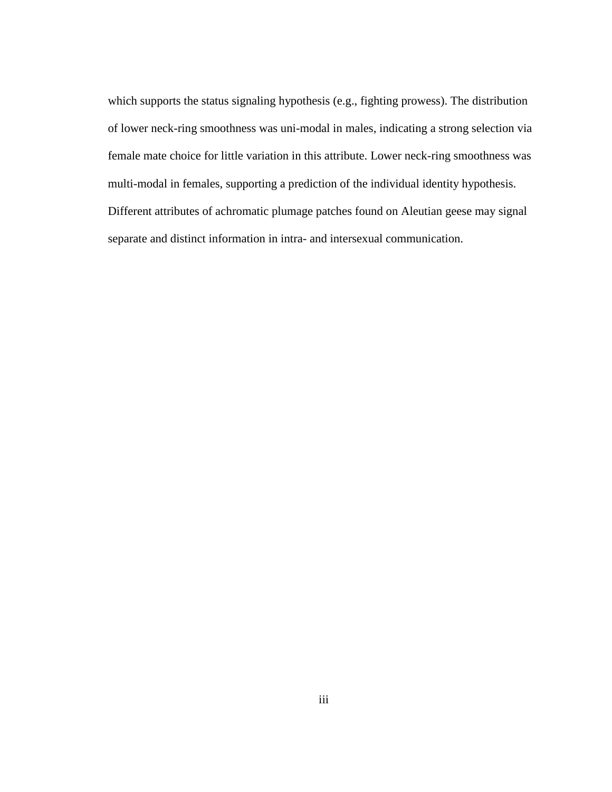which supports the status signaling hypothesis (e.g., fighting prowess). The distribution of lower neck-ring smoothness was uni-modal in males, indicating a strong selection via female mate choice for little variation in this attribute. Lower neck-ring smoothness was multi-modal in females, supporting a prediction of the individual identity hypothesis. Different attributes of achromatic plumage patches found on Aleutian geese may signal separate and distinct information in intra- and intersexual communication.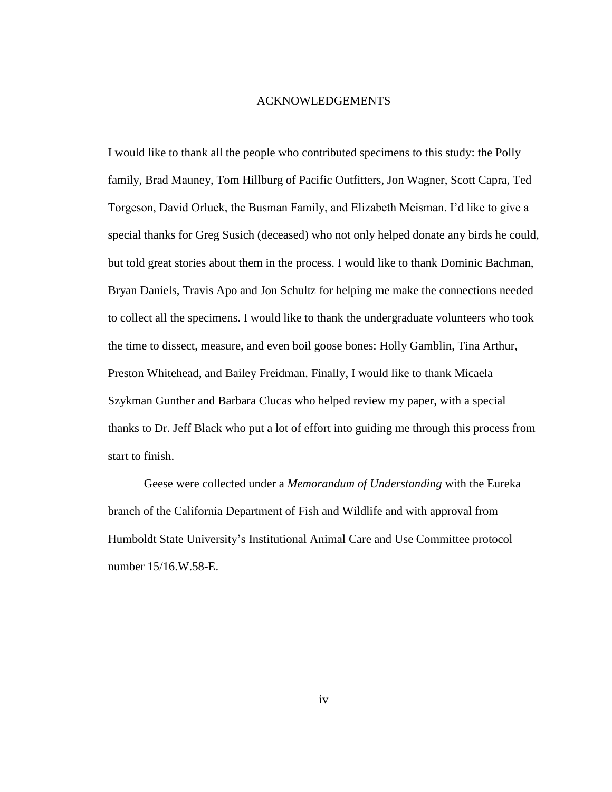#### ACKNOWLEDGEMENTS

I would like to thank all the people who contributed specimens to this study: the Polly family, Brad Mauney, Tom Hillburg of Pacific Outfitters, Jon Wagner, Scott Capra, Ted Torgeson, David Orluck, the Busman Family, and Elizabeth Meisman. I'd like to give a special thanks for Greg Susich (deceased) who not only helped donate any birds he could, but told great stories about them in the process. I would like to thank Dominic Bachman, Bryan Daniels, Travis Apo and Jon Schultz for helping me make the connections needed to collect all the specimens. I would like to thank the undergraduate volunteers who took the time to dissect, measure, and even boil goose bones: Holly Gamblin, Tina Arthur, Preston Whitehead, and Bailey Freidman. Finally, I would like to thank Micaela Szykman Gunther and Barbara Clucas who helped review my paper, with a special thanks to Dr. Jeff Black who put a lot of effort into guiding me through this process from start to finish.

Geese were collected under a *Memorandum of Understanding* with the Eureka branch of the California Department of Fish and Wildlife and with approval from Humboldt State University's Institutional Animal Care and Use Committee protocol number 15/16.W.58-E.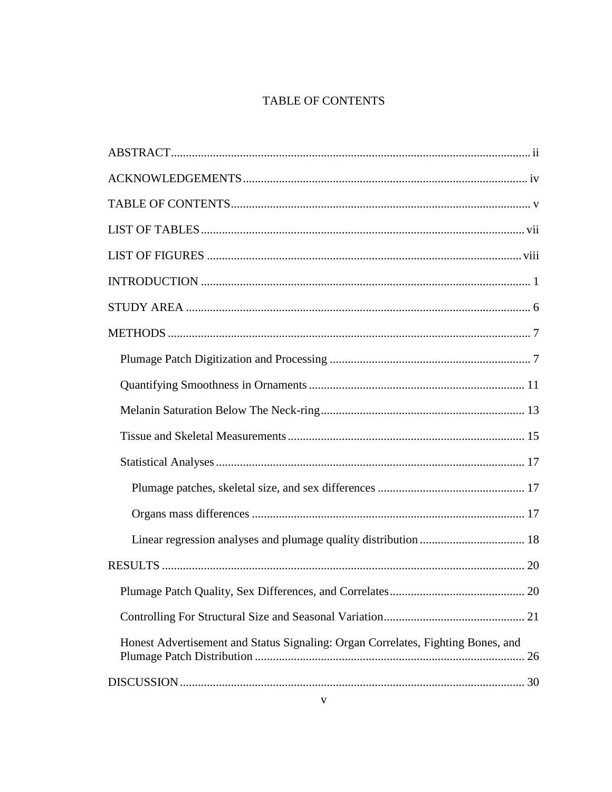# TABLE OF CONTENTS

| Honest Advertisement and Status Signaling: Organ Correlates, Fighting Bones, and |  |
|----------------------------------------------------------------------------------|--|
|                                                                                  |  |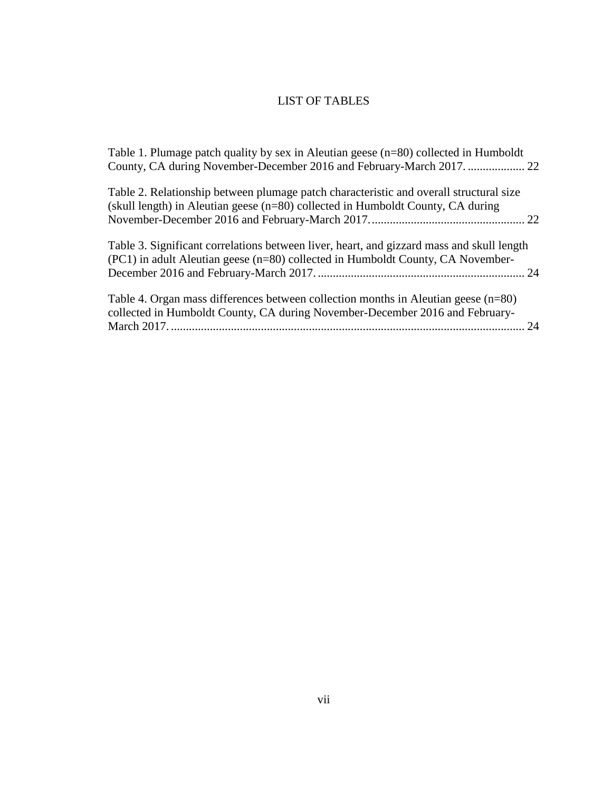# LIST OF TABLES

| Table 1. Plumage patch quality by sex in Aleutian geese (n=80) collected in Humboldt                                                                                         |    |
|------------------------------------------------------------------------------------------------------------------------------------------------------------------------------|----|
| Table 2. Relationship between plumage patch characteristic and overall structural size<br>(skull length) in Aleutian geese $(n=80)$ collected in Humboldt County, CA during  |    |
| Table 3. Significant correlations between liver, heart, and gizzard mass and skull length<br>(PC1) in adult Aleutian geese (n=80) collected in Humboldt County, CA November- |    |
| Table 4. Organ mass differences between collection months in Aleutian geese $(n=80)$<br>collected in Humboldt County, CA during November-December 2016 and February-         | 24 |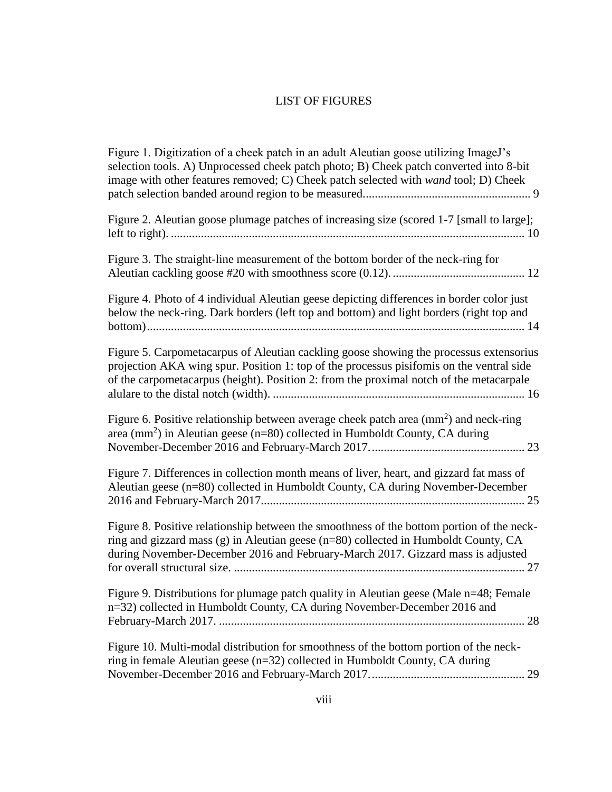# LIST OF FIGURES

| Figure 1. Digitization of a cheek patch in an adult Aleutian goose utilizing ImageJ's<br>selection tools. A) Unprocessed cheek patch photo; B) Cheek patch converted into 8-bit<br>image with other features removed; C) Cheek patch selected with wand tool; D) Cheek        |
|-------------------------------------------------------------------------------------------------------------------------------------------------------------------------------------------------------------------------------------------------------------------------------|
| Figure 2. Aleutian goose plumage patches of increasing size (scored 1-7 [small to large];                                                                                                                                                                                     |
| Figure 3. The straight-line measurement of the bottom border of the neck-ring for                                                                                                                                                                                             |
| Figure 4. Photo of 4 individual Aleutian geese depicting differences in border color just<br>below the neck-ring. Dark borders (left top and bottom) and light borders (right top and                                                                                         |
| Figure 5. Carpometacarpus of Aleutian cackling goose showing the processus extensorius<br>projection AKA wing spur. Position 1: top of the processus pisifomis on the ventral side<br>of the carpometacarpus (height). Position 2: from the proximal notch of the metacarpale |
| Figure 6. Positive relationship between average cheek patch area $\text{(mm)}^2$ and neck-ring<br>area (mm <sup>2</sup> ) in Aleutian geese (n=80) collected in Humboldt County, CA during                                                                                    |
| Figure 7. Differences in collection month means of liver, heart, and gizzard fat mass of<br>Aleutian geese (n=80) collected in Humboldt County, CA during November-December                                                                                                   |
| Figure 8. Positive relationship between the smoothness of the bottom portion of the neck-<br>ring and gizzard mass (g) in Aleutian geese (n=80) collected in Humboldt County, CA<br>during November-December 2016 and February-March 2017. Gizzard mass is adjusted           |
| Figure 9. Distributions for plumage patch quality in Aleutian geese (Male n=48; Female<br>n=32) collected in Humboldt County, CA during November-December 2016 and                                                                                                            |
| Figure 10. Multi-modal distribution for smoothness of the bottom portion of the neck-<br>ring in female Aleutian geese (n=32) collected in Humboldt County, CA during                                                                                                         |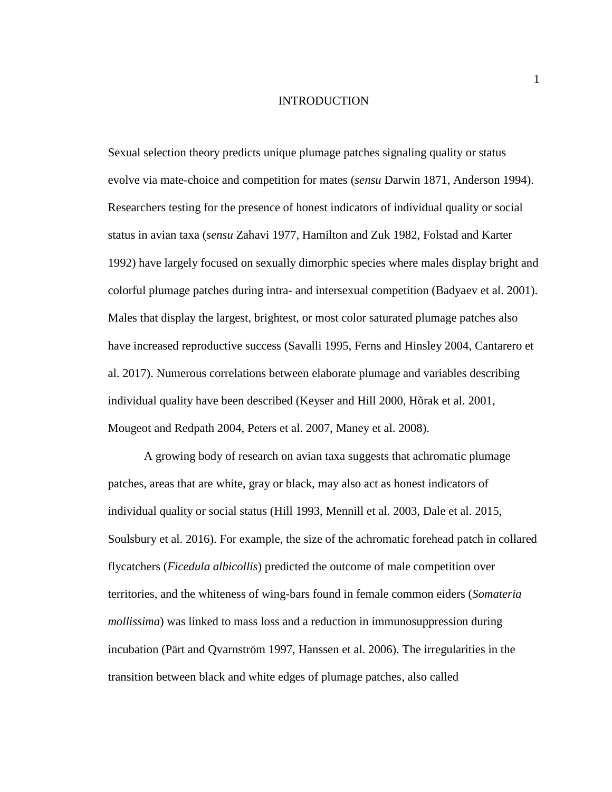#### INTRODUCTION

Sexual selection theory predicts unique plumage patches signaling quality or status evolve via mate-choice and competition for mates (*sensu* Darwin 1871, Anderson 1994). Researchers testing for the presence of honest indicators of individual quality or social status in avian taxa (*sensu* Zahavi 1977, Hamilton and Zuk 1982, Folstad and Karter 1992) have largely focused on sexually dimorphic species where males display bright and colorful plumage patches during intra- and intersexual competition (Badyaev et al. 2001). Males that display the largest, brightest, or most color saturated plumage patches also have increased reproductive success (Savalli 1995, Ferns and Hinsley 2004, Cantarero et al. 2017). Numerous correlations between elaborate plumage and variables describing individual quality have been described (Keyser and Hill 2000, Hõrak et al. 2001, Mougeot and Redpath 2004, Peters et al. 2007, Maney et al. 2008).

A growing body of research on avian taxa suggests that achromatic plumage patches, areas that are white, gray or black, may also act as honest indicators of individual quality or social status (Hill 1993, Mennill et al. 2003, Dale et al. 2015, Soulsbury et al. 2016). For example, the size of the achromatic forehead patch in collared flycatchers (*Ficedula albicollis*) predicted the outcome of male competition over territories, and the whiteness of wing-bars found in female common eiders (*Somateria mollissima*) was linked to mass loss and a reduction in immunosuppression during incubation (Pärt and Qvarnström 1997, Hanssen et al. 2006). The irregularities in the transition between black and white edges of plumage patches, also called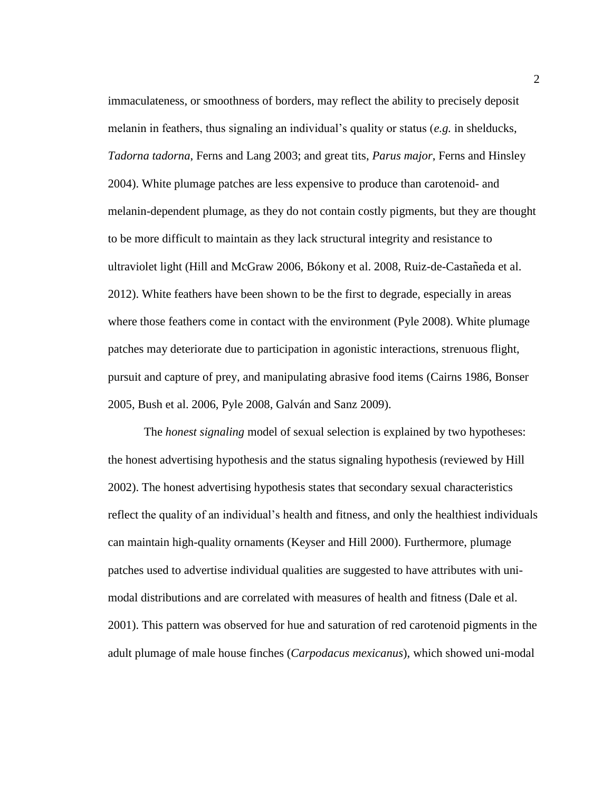immaculateness, or smoothness of borders, may reflect the ability to precisely deposit melanin in feathers, thus signaling an individual's quality or status (*e.g.* in shelducks, *Tadorna tadorna*, Ferns and Lang 2003; and great tits, *Parus major*, Ferns and Hinsley 2004). White plumage patches are less expensive to produce than carotenoid- and melanin-dependent plumage, as they do not contain costly pigments, but they are thought to be more difficult to maintain as they lack structural integrity and resistance to ultraviolet light (Hill and McGraw 2006, Bókony et al. 2008, Ruiz-de-Castañeda et al. 2012). White feathers have been shown to be the first to degrade, especially in areas where those feathers come in contact with the environment (Pyle 2008). White plumage patches may deteriorate due to participation in agonistic interactions, strenuous flight, pursuit and capture of prey, and manipulating abrasive food items (Cairns 1986, Bonser 2005, Bush et al. 2006, Pyle 2008, Galván and Sanz 2009).

The *honest signaling* model of sexual selection is explained by two hypotheses: the honest advertising hypothesis and the status signaling hypothesis (reviewed by Hill 2002). The honest advertising hypothesis states that secondary sexual characteristics reflect the quality of an individual's health and fitness, and only the healthiest individuals can maintain high-quality ornaments (Keyser and Hill 2000). Furthermore, plumage patches used to advertise individual qualities are suggested to have attributes with unimodal distributions and are correlated with measures of health and fitness (Dale et al. 2001). This pattern was observed for hue and saturation of red carotenoid pigments in the adult plumage of male house finches (*Carpodacus mexicanus*), which showed uni-modal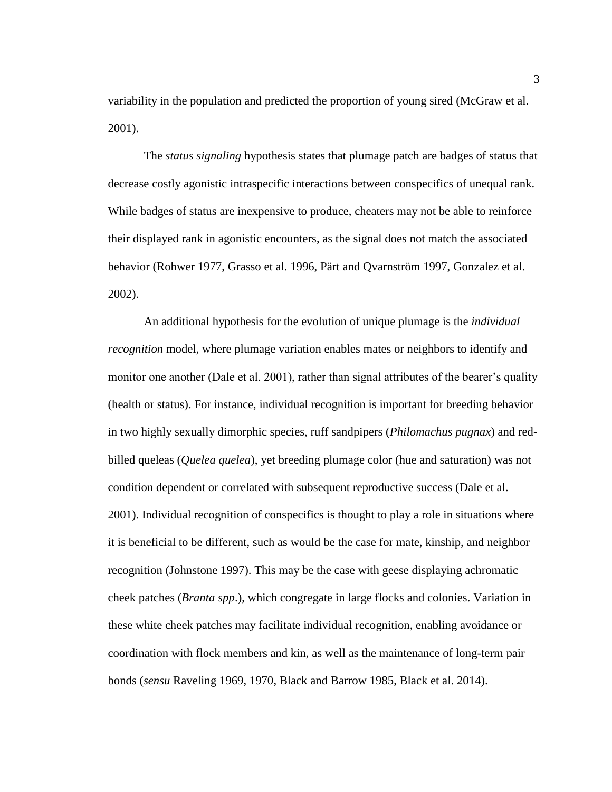variability in the population and predicted the proportion of young sired (McGraw et al. 2001).

The *status signaling* hypothesis states that plumage patch are badges of status that decrease costly agonistic intraspecific interactions between conspecifics of unequal rank. While badges of status are inexpensive to produce, cheaters may not be able to reinforce their displayed rank in agonistic encounters, as the signal does not match the associated behavior (Rohwer 1977, Grasso et al. 1996, Pärt and Qvarnström 1997, Gonzalez et al. 2002).

An additional hypothesis for the evolution of unique plumage is the *individual recognition* model, where plumage variation enables mates or neighbors to identify and monitor one another (Dale et al. 2001), rather than signal attributes of the bearer's quality (health or status). For instance, individual recognition is important for breeding behavior in two highly sexually dimorphic species, ruff sandpipers (*Philomachus pugnax*) and redbilled queleas (*Quelea quelea*), yet breeding plumage color (hue and saturation) was not condition dependent or correlated with subsequent reproductive success (Dale et al. 2001). Individual recognition of conspecifics is thought to play a role in situations where it is beneficial to be different, such as would be the case for mate, kinship, and neighbor recognition (Johnstone 1997). This may be the case with geese displaying achromatic cheek patches (*Branta spp*.), which congregate in large flocks and colonies. Variation in these white cheek patches may facilitate individual recognition, enabling avoidance or coordination with flock members and kin, as well as the maintenance of long-term pair bonds (*sensu* Raveling 1969, 1970, Black and Barrow 1985, Black et al. 2014).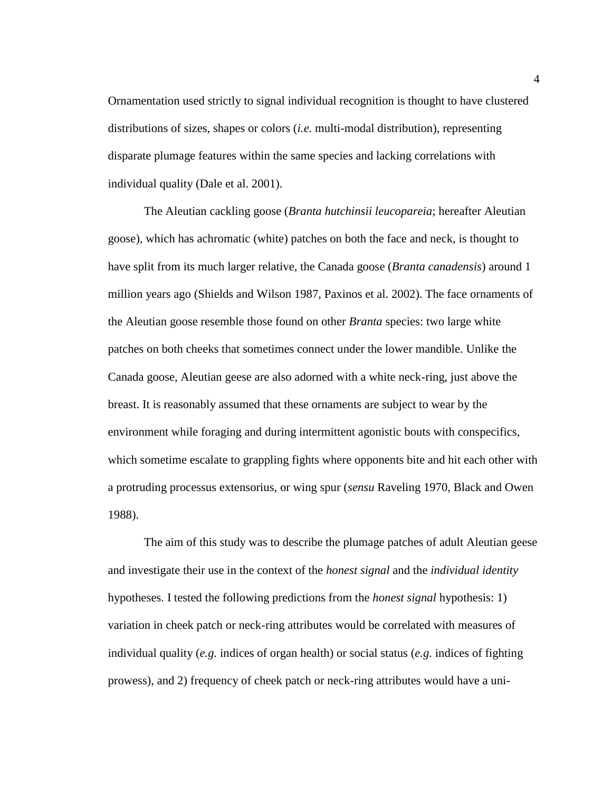Ornamentation used strictly to signal individual recognition is thought to have clustered distributions of sizes, shapes or colors (*i.e.* multi-modal distribution), representing disparate plumage features within the same species and lacking correlations with individual quality (Dale et al. 2001).

The Aleutian cackling goose (*Branta hutchinsii leucopareia*; hereafter Aleutian goose), which has achromatic (white) patches on both the face and neck, is thought to have split from its much larger relative, the Canada goose (*Branta canadensis*) around 1 million years ago (Shields and Wilson 1987, Paxinos et al. 2002). The face ornaments of the Aleutian goose resemble those found on other *Branta* species: two large white patches on both cheeks that sometimes connect under the lower mandible. Unlike the Canada goose, Aleutian geese are also adorned with a white neck-ring, just above the breast. It is reasonably assumed that these ornaments are subject to wear by the environment while foraging and during intermittent agonistic bouts with conspecifics, which sometime escalate to grappling fights where opponents bite and hit each other with a protruding processus extensorius, or wing spur (*sensu* Raveling 1970, Black and Owen 1988).

The aim of this study was to describe the plumage patches of adult Aleutian geese and investigate their use in the context of the *honest signal* and the *individual identity* hypotheses. I tested the following predictions from the *honest signal* hypothesis: 1) variation in cheek patch or neck-ring attributes would be correlated with measures of individual quality (*e.g.* indices of organ health) or social status (*e.g.* indices of fighting prowess), and 2) frequency of cheek patch or neck-ring attributes would have a uni-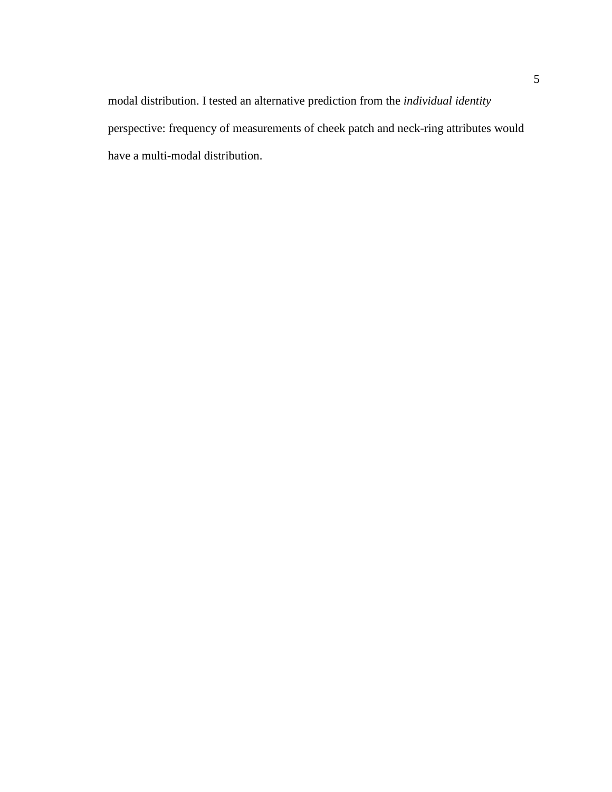modal distribution. I tested an alternative prediction from the *individual identity* perspective: frequency of measurements of cheek patch and neck-ring attributes would have a multi-modal distribution.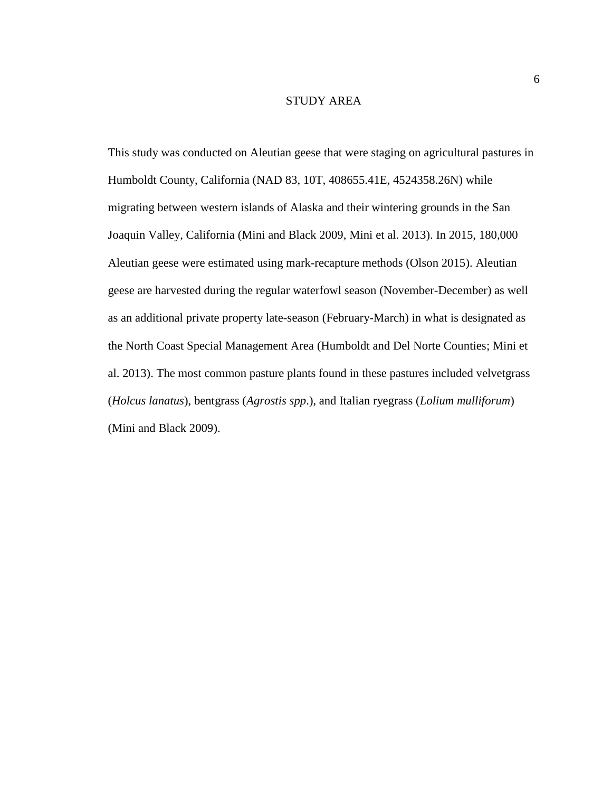#### STUDY AREA

This study was conducted on Aleutian geese that were staging on agricultural pastures in Humboldt County, California (NAD 83, 10T, 408655.41E, 4524358.26N) while migrating between western islands of Alaska and their wintering grounds in the San Joaquin Valley, California (Mini and Black 2009, Mini et al. 2013). In 2015, 180,000 Aleutian geese were estimated using mark-recapture methods (Olson 2015). Aleutian geese are harvested during the regular waterfowl season (November-December) as well as an additional private property late-season (February-March) in what is designated as the North Coast Special Management Area (Humboldt and Del Norte Counties; Mini et al. 2013). The most common pasture plants found in these pastures included velvetgrass (*Holcus lanatus*), bentgrass (*Agrostis spp*.), and Italian ryegrass (*Lolium mulliforum*) (Mini and Black 2009).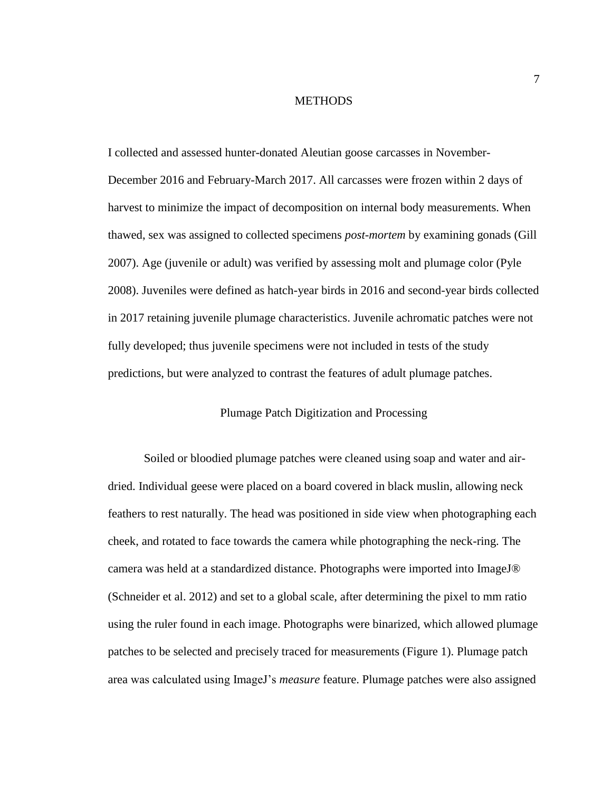#### **METHODS**

I collected and assessed hunter-donated Aleutian goose carcasses in November-December 2016 and February-March 2017. All carcasses were frozen within 2 days of harvest to minimize the impact of decomposition on internal body measurements. When thawed, sex was assigned to collected specimens *post-mortem* by examining gonads (Gill 2007). Age (juvenile or adult) was verified by assessing molt and plumage color (Pyle 2008). Juveniles were defined as hatch-year birds in 2016 and second-year birds collected in 2017 retaining juvenile plumage characteristics. Juvenile achromatic patches were not fully developed; thus juvenile specimens were not included in tests of the study predictions, but were analyzed to contrast the features of adult plumage patches.

#### Plumage Patch Digitization and Processing

Soiled or bloodied plumage patches were cleaned using soap and water and airdried. Individual geese were placed on a board covered in black muslin, allowing neck feathers to rest naturally. The head was positioned in side view when photographing each cheek, and rotated to face towards the camera while photographing the neck-ring. The camera was held at a standardized distance. Photographs were imported into ImageJ® (Schneider et al. 2012) and set to a global scale, after determining the pixel to mm ratio using the ruler found in each image. Photographs were binarized, which allowed plumage patches to be selected and precisely traced for measurements [\(Figure 1\)](#page-16-0). Plumage patch area was calculated using ImageJ's *measure* feature. Plumage patches were also assigned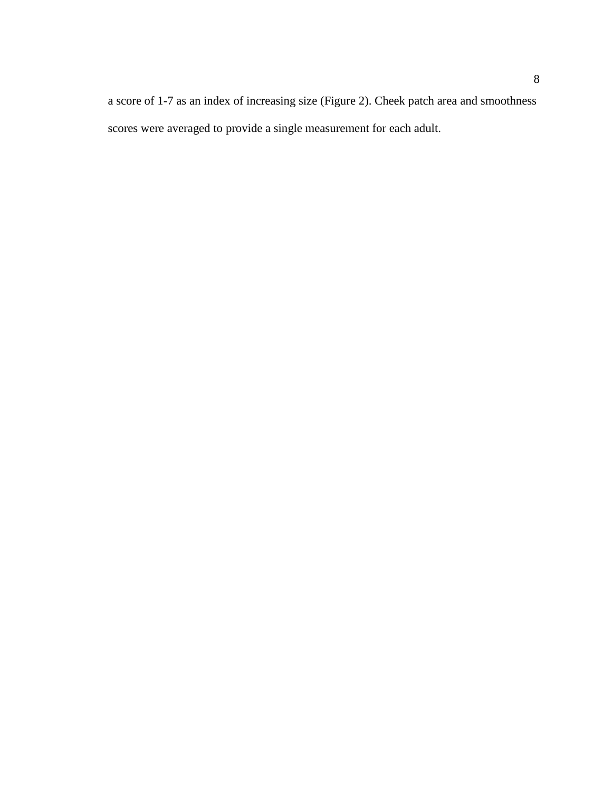a score of 1-7 as an index of increasing size [\(Figure 2\)](#page-17-0). Cheek patch area and smoothness scores were averaged to provide a single measurement for each adult.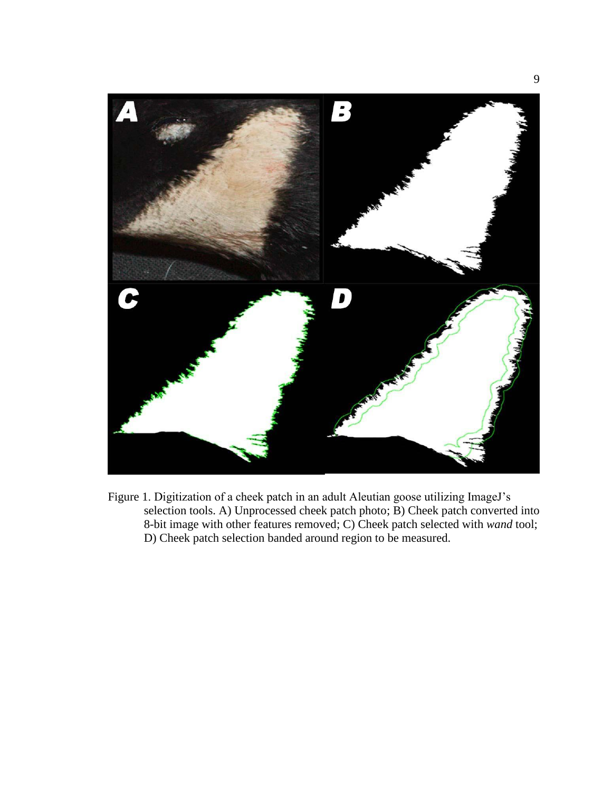

<span id="page-16-0"></span>Figure 1. Digitization of a cheek patch in an adult Aleutian goose utilizing ImageJ's selection tools. A) Unprocessed cheek patch photo;  $\overrightarrow{B}$ ) Cheek patch converted into 8-bit image with other features removed; C) Cheek patch selected with *wand* tool; D) Cheek patch selection banded around region to be measured.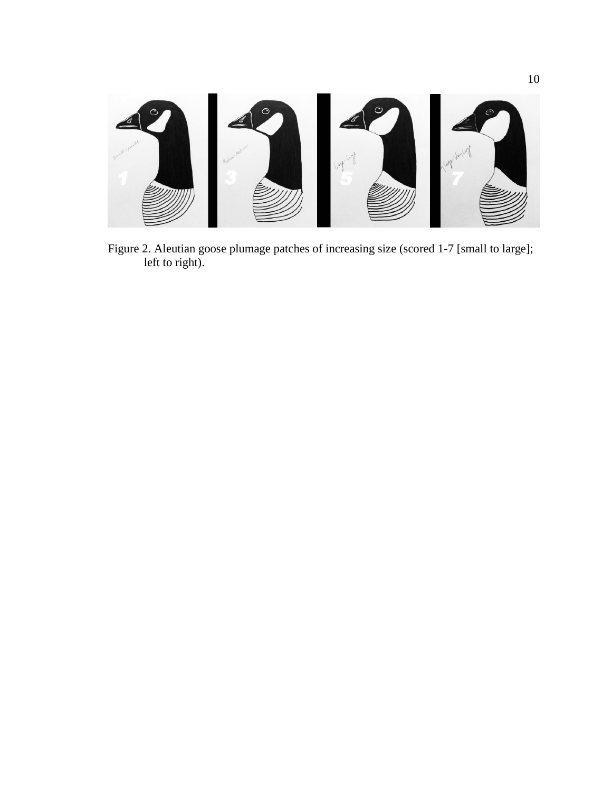<span id="page-17-0"></span>

Figure 2. Aleutian goose plumage patches of increasing size (scored 1-7 [small to large]; left to right).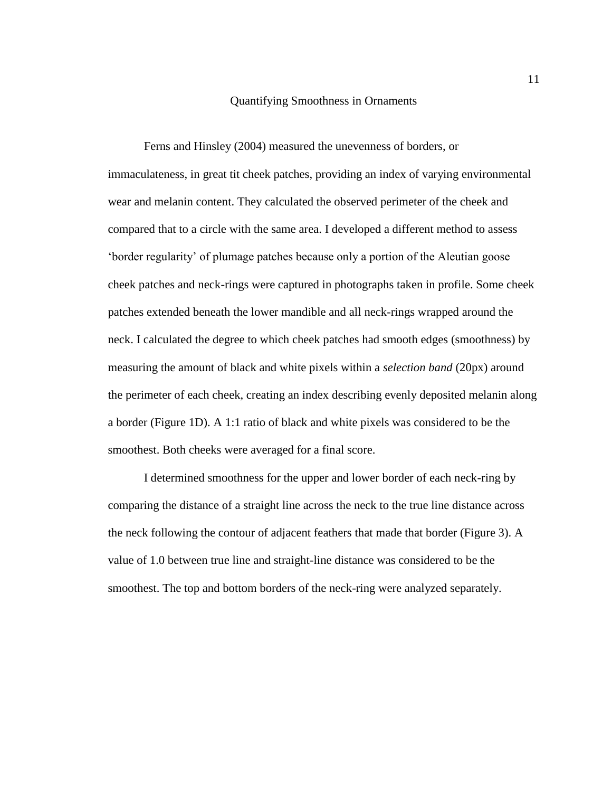#### Quantifying Smoothness in Ornaments

Ferns and Hinsley (2004) measured the unevenness of borders, or immaculateness, in great tit cheek patches, providing an index of varying environmental wear and melanin content. They calculated the observed perimeter of the cheek and compared that to a circle with the same area. I developed a different method to assess 'border regularity' of plumage patches because only a portion of the Aleutian goose cheek patches and neck-rings were captured in photographs taken in profile. Some cheek patches extended beneath the lower mandible and all neck-rings wrapped around the neck. I calculated the degree to which cheek patches had smooth edges (smoothness) by measuring the amount of black and white pixels within a *selection band* (20px) around the perimeter of each cheek, creating an index describing evenly deposited melanin along a border (Figure 1D). A 1:1 ratio of black and white pixels was considered to be the smoothest. Both cheeks were averaged for a final score.

I determined smoothness for the upper and lower border of each neck-ring by comparing the distance of a straight line across the neck to the true line distance across the neck following the contour of adjacent feathers that made that border [\(Figure 3\)](#page-19-0). A value of 1.0 between true line and straight-line distance was considered to be the smoothest. The top and bottom borders of the neck-ring were analyzed separately.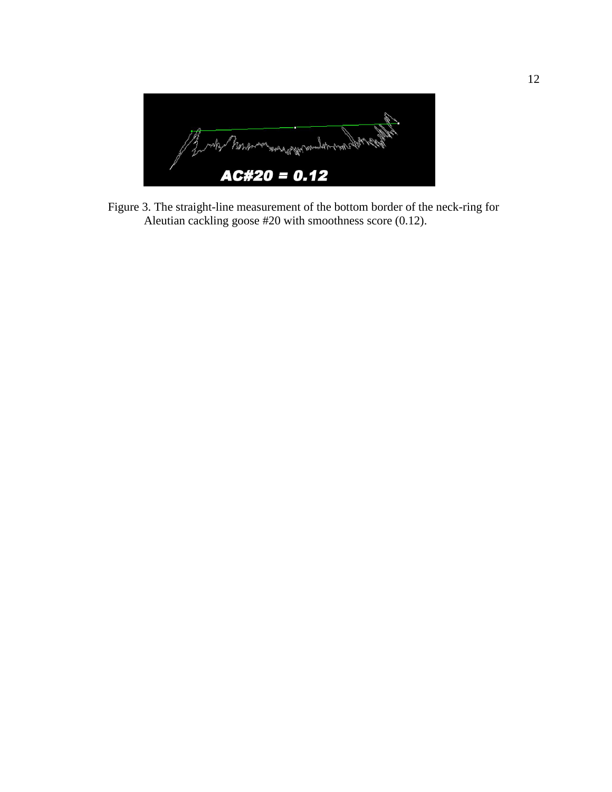<span id="page-19-0"></span>

Figure 3. The straight-line measurement of the bottom border of the neck-ring for Aleutian cackling goose #20 with smoothness score (0.12).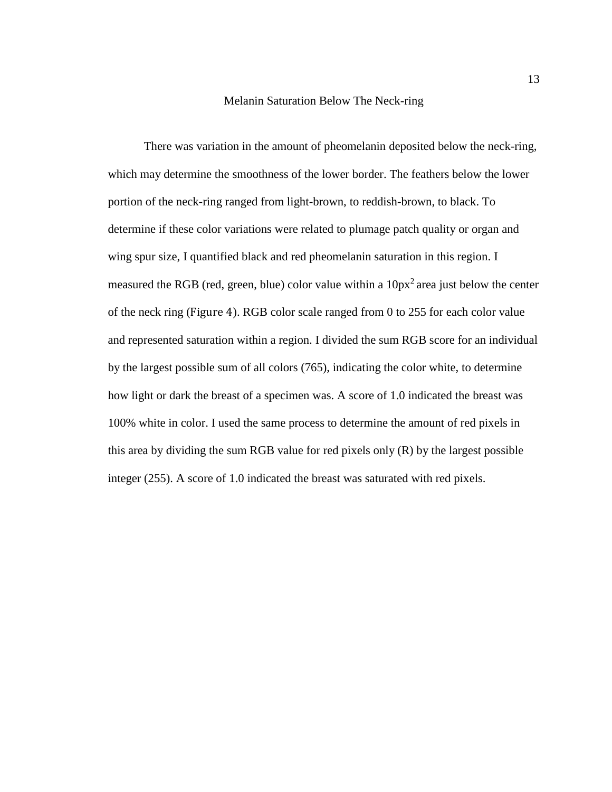#### Melanin Saturation Below The Neck-ring

There was variation in the amount of pheomelanin deposited below the neck-ring, which may determine the smoothness of the lower border. The feathers below the lower portion of the neck-ring ranged from light-brown, to reddish-brown, to black. To determine if these color variations were related to plumage patch quality or organ and wing spur size, I quantified black and red pheomelanin saturation in this region. I measured the RGB (red, green, blue) color value within a  $10px^2$  area just below the center of the neck ring ([Figure 4](#page-21-0)). RGB color scale ranged from 0 to 255 for each color value and represented saturation within a region. I divided the sum RGB score for an individual by the largest possible sum of all colors (765), indicating the color white, to determine how light or dark the breast of a specimen was. A score of 1.0 indicated the breast was 100% white in color. I used the same process to determine the amount of red pixels in this area by dividing the sum RGB value for red pixels only (R) by the largest possible integer (255). A score of 1.0 indicated the breast was saturated with red pixels.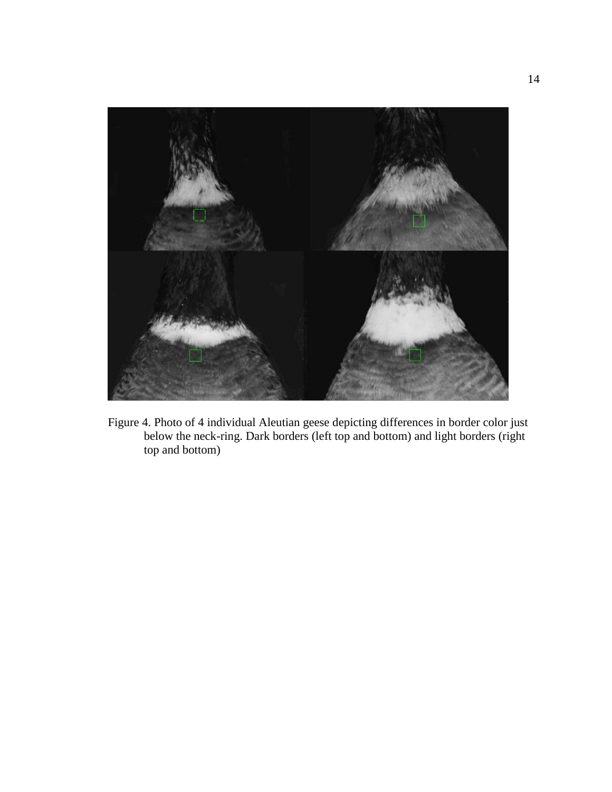

<span id="page-21-0"></span>Figure 4. Photo of 4 individual Aleutian geese depicting differences in border color just below the neck-ring. Dark borders (left top and bottom) and light borders (right top and bottom)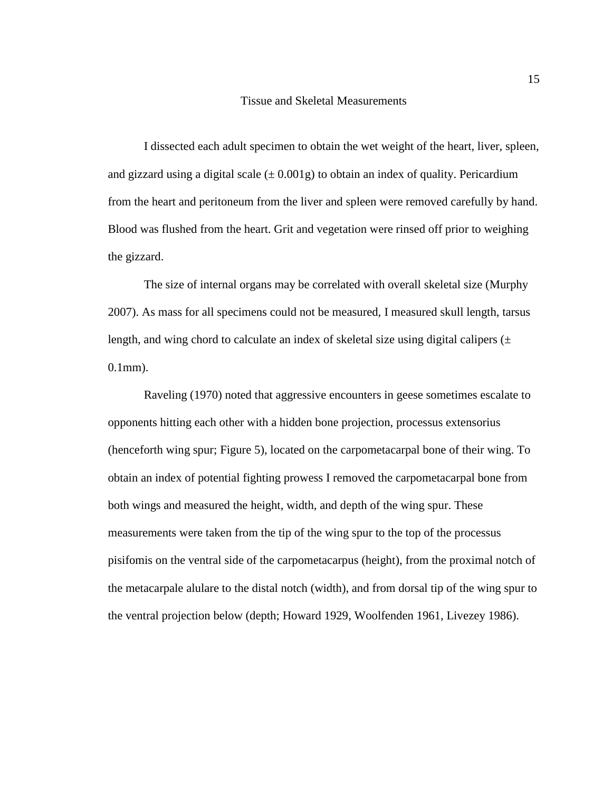#### Tissue and Skeletal Measurements

I dissected each adult specimen to obtain the wet weight of the heart, liver, spleen, and gizzard using a digital scale  $(\pm 0.001g)$  to obtain an index of quality. Pericardium from the heart and peritoneum from the liver and spleen were removed carefully by hand. Blood was flushed from the heart. Grit and vegetation were rinsed off prior to weighing the gizzard.

The size of internal organs may be correlated with overall skeletal size (Murphy 2007). As mass for all specimens could not be measured, I measured skull length, tarsus length, and wing chord to calculate an index of skeletal size using digital calipers  $(\pm$ 0.1mm).

Raveling (1970) noted that aggressive encounters in geese sometimes escalate to opponents hitting each other with a hidden bone projection, processus extensorius (henceforth wing spur; [Figure 5\)](#page-23-0), located on the carpometacarpal bone of their wing. To obtain an index of potential fighting prowess I removed the carpometacarpal bone from both wings and measured the height, width, and depth of the wing spur. These measurements were taken from the tip of the wing spur to the top of the processus pisifomis on the ventral side of the carpometacarpus (height), from the proximal notch of the metacarpale alulare to the distal notch (width), and from dorsal tip of the wing spur to the ventral projection below (depth; Howard 1929, Woolfenden 1961, Livezey 1986).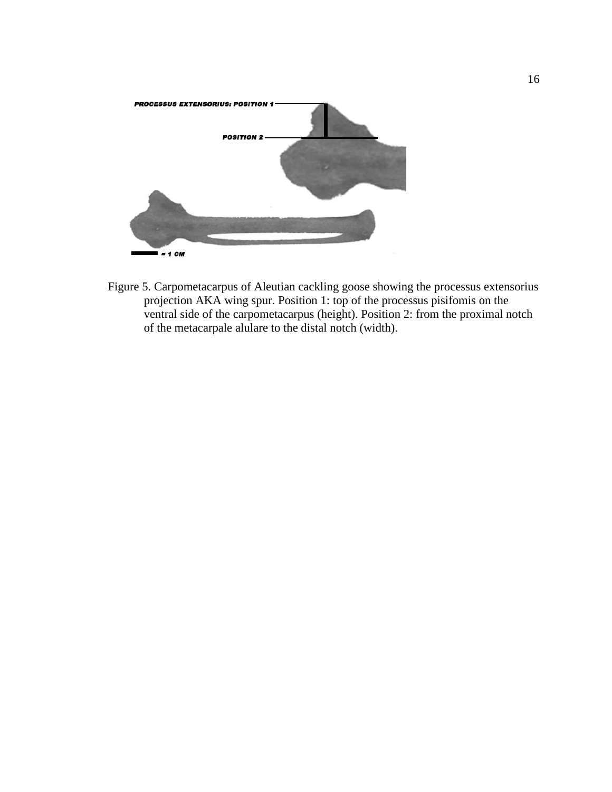

<span id="page-23-0"></span>Figure 5. Carpometacarpus of Aleutian cackling goose showing the processus extensorius projection AKA wing spur. Position 1: top of the processus pisifomis on the ventral side of the carpometacarpus (height). Position 2: from the proximal notch of the metacarpale alulare to the distal notch (width).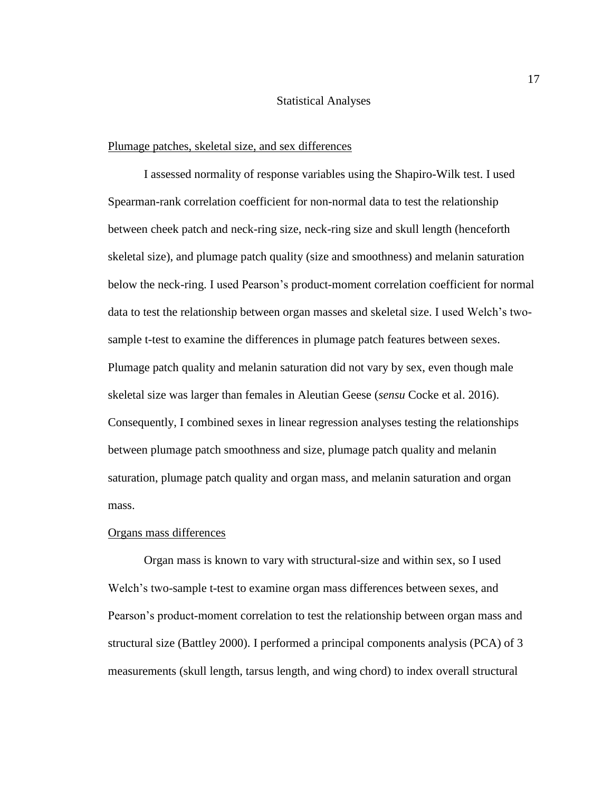#### Statistical Analyses

#### Plumage patches, skeletal size, and sex differences

I assessed normality of response variables using the Shapiro-Wilk test. I used Spearman-rank correlation coefficient for non-normal data to test the relationship between cheek patch and neck-ring size, neck-ring size and skull length (henceforth skeletal size), and plumage patch quality (size and smoothness) and melanin saturation below the neck-ring. I used Pearson's product-moment correlation coefficient for normal data to test the relationship between organ masses and skeletal size. I used Welch's twosample t-test to examine the differences in plumage patch features between sexes. Plumage patch quality and melanin saturation did not vary by sex, even though male skeletal size was larger than females in Aleutian Geese (*sensu* Cocke et al. 2016). Consequently, I combined sexes in linear regression analyses testing the relationships between plumage patch smoothness and size, plumage patch quality and melanin saturation, plumage patch quality and organ mass, and melanin saturation and organ mass.

### Organs mass differences

Organ mass is known to vary with structural-size and within sex, so I used Welch's two-sample t-test to examine organ mass differences between sexes, and Pearson's product-moment correlation to test the relationship between organ mass and structural size (Battley 2000). I performed a principal components analysis (PCA) of 3 measurements (skull length, tarsus length, and wing chord) to index overall structural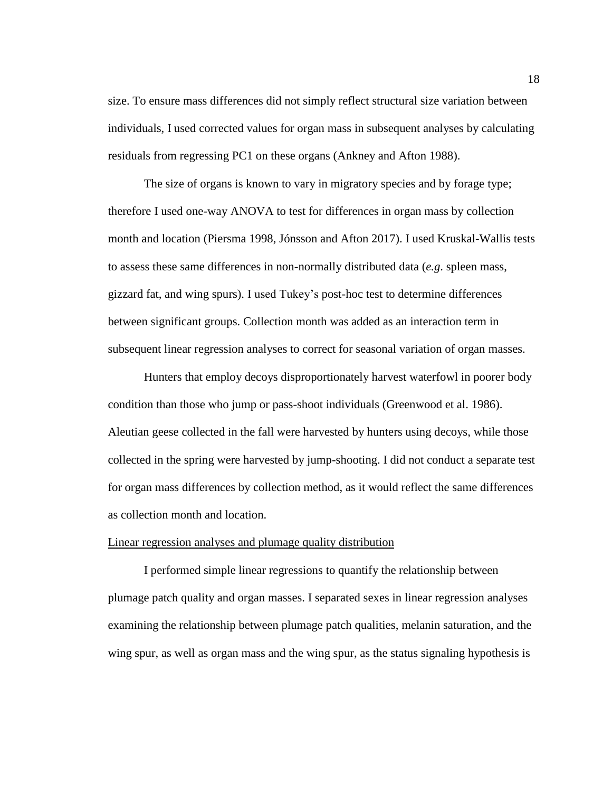size. To ensure mass differences did not simply reflect structural size variation between individuals, I used corrected values for organ mass in subsequent analyses by calculating residuals from regressing PC1 on these organs (Ankney and Afton 1988).

The size of organs is known to vary in migratory species and by forage type; therefore I used one-way ANOVA to test for differences in organ mass by collection month and location (Piersma 1998, Jónsson and Afton 2017). I used Kruskal-Wallis tests to assess these same differences in non-normally distributed data (*e.g*. spleen mass, gizzard fat, and wing spurs). I used Tukey's post-hoc test to determine differences between significant groups. Collection month was added as an interaction term in subsequent linear regression analyses to correct for seasonal variation of organ masses.

Hunters that employ decoys disproportionately harvest waterfowl in poorer body condition than those who jump or pass-shoot individuals (Greenwood et al. 1986). Aleutian geese collected in the fall were harvested by hunters using decoys, while those collected in the spring were harvested by jump-shooting. I did not conduct a separate test for organ mass differences by collection method, as it would reflect the same differences as collection month and location.

#### Linear regression analyses and plumage quality distribution

I performed simple linear regressions to quantify the relationship between plumage patch quality and organ masses. I separated sexes in linear regression analyses examining the relationship between plumage patch qualities, melanin saturation, and the wing spur, as well as organ mass and the wing spur, as the status signaling hypothesis is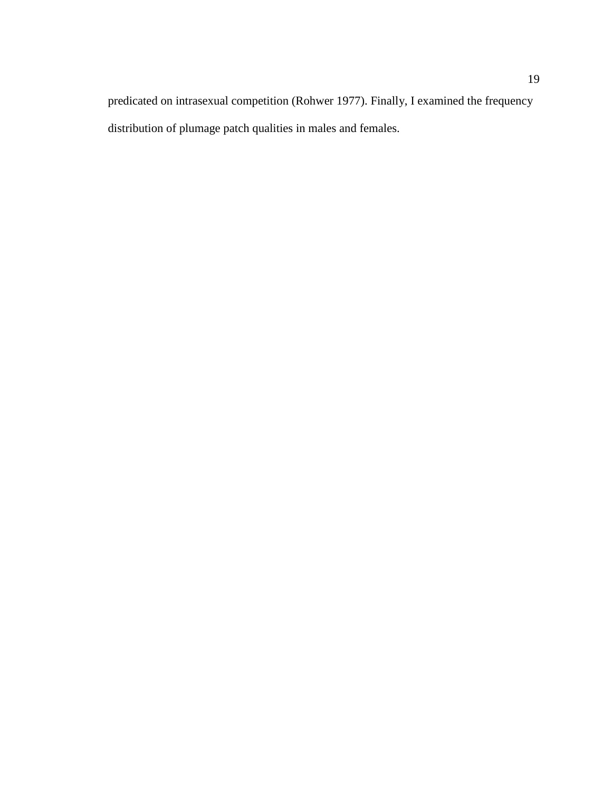predicated on intrasexual competition (Rohwer 1977). Finally, I examined the frequency distribution of plumage patch qualities in males and females.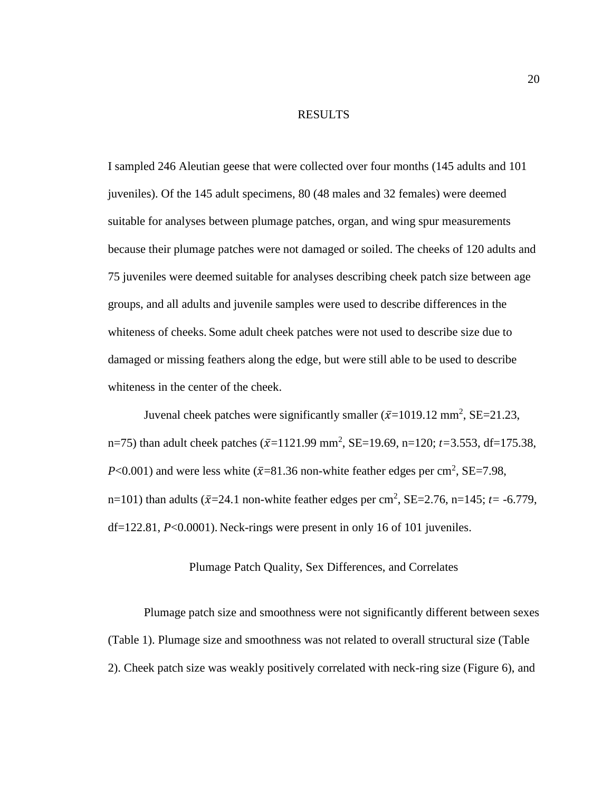#### RESULTS

I sampled 246 Aleutian geese that were collected over four months (145 adults and 101 juveniles). Of the 145 adult specimens, 80 (48 males and 32 females) were deemed suitable for analyses between plumage patches, organ, and wing spur measurements because their plumage patches were not damaged or soiled. The cheeks of 120 adults and 75 juveniles were deemed suitable for analyses describing cheek patch size between age groups, and all adults and juvenile samples were used to describe differences in the whiteness of cheeks. Some adult cheek patches were not used to describe size due to damaged or missing feathers along the edge, but were still able to be used to describe whiteness in the center of the cheek.

Juvenal cheek patches were significantly smaller  $(\bar{x}=1019.12 \text{ mm}^2, \text{SE}=21.23,$ n=75) than adult cheek patches  $(\bar{x}=1121.99 \text{ mm}^2, \text{SE}=19.69, \text{ n}=120; t=3.553, df=175.38,$  $P<0.001$ ) and were less white ( $\bar{x}=81.36$  non-white feather edges per cm<sup>2</sup>, SE=7.98, n=101) than adults ( $\bar{x}$ =24.1 non-white feather edges per cm<sup>2</sup>, SE=2.76, n=145; *t*= -6.779, df=122.81, *P*<0.0001). Neck-rings were present in only 16 of 101 juveniles.

### Plumage Patch Quality, Sex Differences, and Correlates

Plumage patch size and smoothness were not significantly different between sexes [\(Table 1\)](#page-29-0). Plumage size and smoothness was not related to overall structural size [\(Table](#page-29-1)  [2\)](#page-29-1). Cheek patch size was weakly positively correlated with neck-ring size [\(Figure 6\)](#page-30-0), and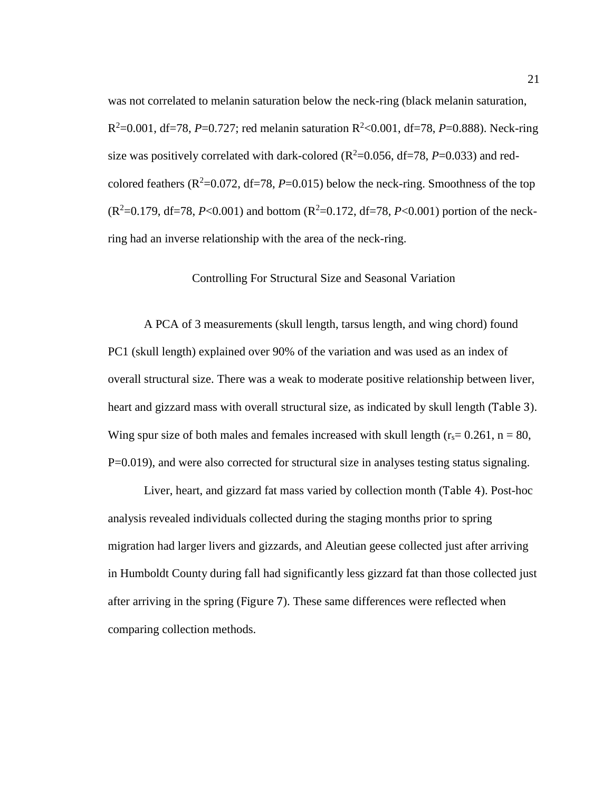was not correlated to melanin saturation below the neck-ring (black melanin saturation, R<sup>2</sup>=0.001, df=78, P=0.727; red melanin saturation R<sup>2</sup><0.001, df=78, P=0.888). Neck-ring size was positively correlated with dark-colored ( $R^2$ =0.056, df=78, *P*=0.033) and redcolored feathers ( $\mathbb{R}^2$ =0.072, df=78, *P*=0.015) below the neck-ring. Smoothness of the top  $(R^2=0.179, df=78, P<0.001)$  and bottom  $(R^2=0.172, df=78, P<0.001)$  portion of the neckring had an inverse relationship with the area of the neck-ring.

#### Controlling For Structural Size and Seasonal Variation

A PCA of 3 measurements (skull length, tarsus length, and wing chord) found PC1 (skull length) explained over 90% of the variation and was used as an index of overall structural size. There was a weak to moderate positive relationship between liver, heart and gizzard mass with overall structural size, as indicated by skull length ([Table 3](#page-31-0)). Wing spur size of both males and females increased with skull length ( $r_s$ = 0.261, n = 80, P=0.019), and were also corrected for structural size in analyses testing status signaling.

Liver, heart, and gizzard fat mass varied by collection month ([Table 4](#page-31-1)). Post-hoc analysis revealed individuals collected during the staging months prior to spring migration had larger livers and gizzards, and Aleutian geese collected just after arriving in Humboldt County during fall had significantly less gizzard fat than those collected just after arriving in the spring ([Figure 7](#page-32-0)). These same differences were reflected when comparing collection methods.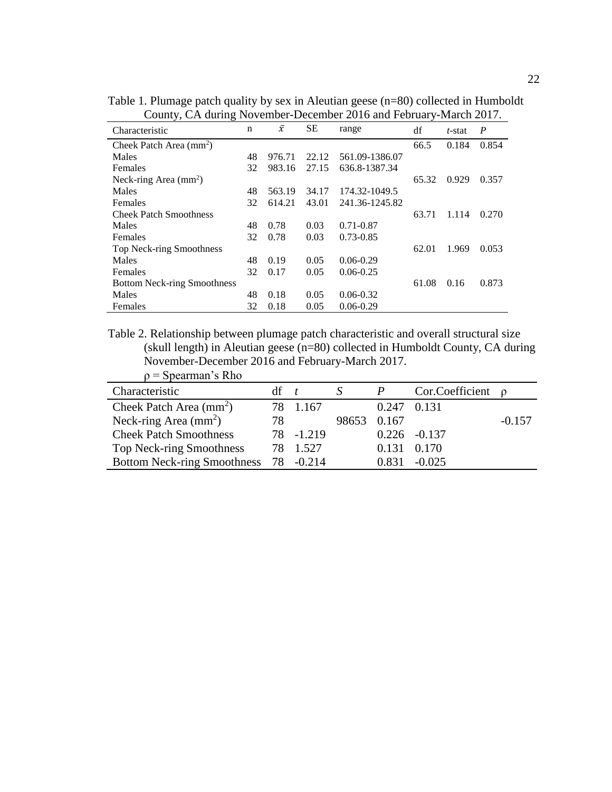| Characteristic                     | $\mathbf n$ | $\bar{x}$ | <b>SE</b> | range          | df    | t-stat | $\boldsymbol{P}$ |
|------------------------------------|-------------|-----------|-----------|----------------|-------|--------|------------------|
| Cheek Patch Area $(mm^2)$          |             |           |           |                | 66.5  | 0.184  | 0.854            |
| Males                              | 48          | 976.71    | 22.12     | 561.09-1386.07 |       |        |                  |
| Females                            | 32          | 983.16    | 27.15     | 636.8-1387.34  |       |        |                  |
| Neck-ring Area $(mm2)$             |             |           |           |                | 65.32 | 0.929  | 0.357            |
| Males                              | 48          | 563.19    | 34.17     | 174.32-1049.5  |       |        |                  |
| Females                            | 32          | 614.21    | 43.01     | 241.36-1245.82 |       |        |                  |
| <b>Cheek Patch Smoothness</b>      |             |           |           |                | 63.71 | 1.114  | 0.270            |
| Males                              | 48          | 0.78      | 0.03      | $0.71 - 0.87$  |       |        |                  |
| Females                            | 32          | 0.78      | 0.03      | $0.73 - 0.85$  |       |        |                  |
| Top Neck-ring Smoothness           |             |           |           |                | 62.01 | 1.969  | 0.053            |
| Males                              | 48          | 0.19      | 0.05      | $0.06 - 0.29$  |       |        |                  |
| Females                            | 32          | 0.17      | 0.05      | $0.06 - 0.25$  |       |        |                  |
| <b>Bottom Neck-ring Smoothness</b> |             |           |           |                | 61.08 | 0.16   | 0.873            |
| Males                              | 48          | 0.18      | 0.05      | $0.06 - 0.32$  |       |        |                  |
| Females                            | 32          | 0.18      | 0.05      | $0.06 - 0.29$  |       |        |                  |

<span id="page-29-0"></span>Table 1. Plumage patch quality by sex in Aleutian geese (n=80) collected in Humboldt County, CA during November-December 2016 and February-March 2017.

<span id="page-29-1"></span>Table 2. Relationship between plumage patch characteristic and overall structural size (skull length) in Aleutian geese (n=80) collected in Humboldt County, CA during November-December 2016 and February-March 2017.  $\rho$  = Spearman's Rho

| Characteristic                     | $df \quad t$ |            |             |             | Cor.Coefficient $\rho$ |          |
|------------------------------------|--------------|------------|-------------|-------------|------------------------|----------|
| Cheek Patch Area $(mm^2)$          |              | 78 1.167   |             | 0.247 0.131 |                        |          |
| Neck-ring Area $(mm^2)$            | 78           |            | 98653 0.167 |             |                        | $-0.157$ |
| <b>Cheek Patch Smoothness</b>      |              | 78 - 1.219 |             |             | $0.226 - 0.137$        |          |
| <b>Top Neck-ring Smoothness</b>    |              | 78 1.527   |             |             | 0.131 0.170            |          |
| <b>Bottom Neck-ring Smoothness</b> |              | 78 -0.214  |             | 0.831       | $-0.025$               |          |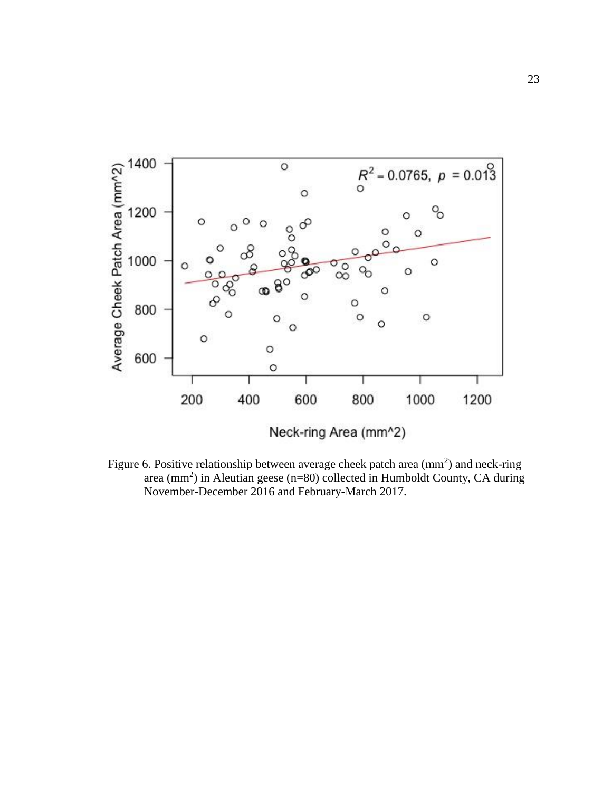

<span id="page-30-0"></span>Figure 6. Positive relationship between average cheek patch area  $\text{(mm}^2)$  and neck-ring area (mm<sup>2</sup>) in Aleutian geese (n=80) collected in Humboldt County, CA during November-December 2016 and February-March 2017.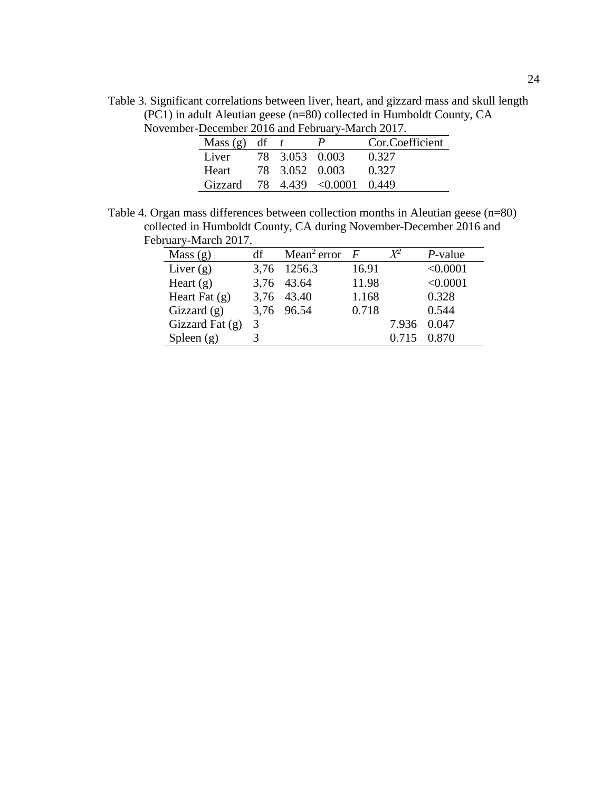<span id="page-31-0"></span>Table 3. Significant correlations between liver, heart, and gizzard mass and skull length (PC1) in adult Aleutian geese (n=80) collected in Humboldt County, CA November-December 2016 and February-March 2017.

| December 2010 and I column y ividien 2017. |  |                |                         |                 |  |  |  |
|--------------------------------------------|--|----------------|-------------------------|-----------------|--|--|--|
| Mass (g) df $t$                            |  |                | $\mathbf{P}$            | Cor.Coefficient |  |  |  |
| Liver                                      |  | 78 3.053 0.003 |                         | 0.327           |  |  |  |
| Heart                                      |  | 78 3.052 0.003 |                         | 0.327           |  |  |  |
| Gizzard                                    |  |                | 78 4.439 < 0.0001 0.449 |                 |  |  |  |

<span id="page-31-1"></span>Table 4. Organ mass differences between collection months in Aleutian geese (n=80) collected in Humboldt County, CA during November-December 2016 and February-March 2017.  $\overline{\phantom{0}}$ 

| Mass $(g)$        | df | Mean <sup>2</sup> error | $\overline{F}$ |       | $P$ -value |
|-------------------|----|-------------------------|----------------|-------|------------|
| Liver $(g)$       |    | 3,76 1256.3             | 16.91          |       | < 0.0001   |
| Heart $(g)$       |    | 3,76 43.64              | 11.98          |       | < 0.0001   |
| Heart Fat $(g)$   |    | 3,76 43.40              | 1.168          |       | 0.328      |
| Gizzard $(g)$     |    | 3,76 96.54              | 0.718          |       | 0.544      |
| Gizzard Fat $(g)$ | 3  |                         |                | 7.936 | 0.047      |
| Spleen $(g)$      |    |                         |                | 0.715 | 0.870      |
|                   |    |                         |                |       |            |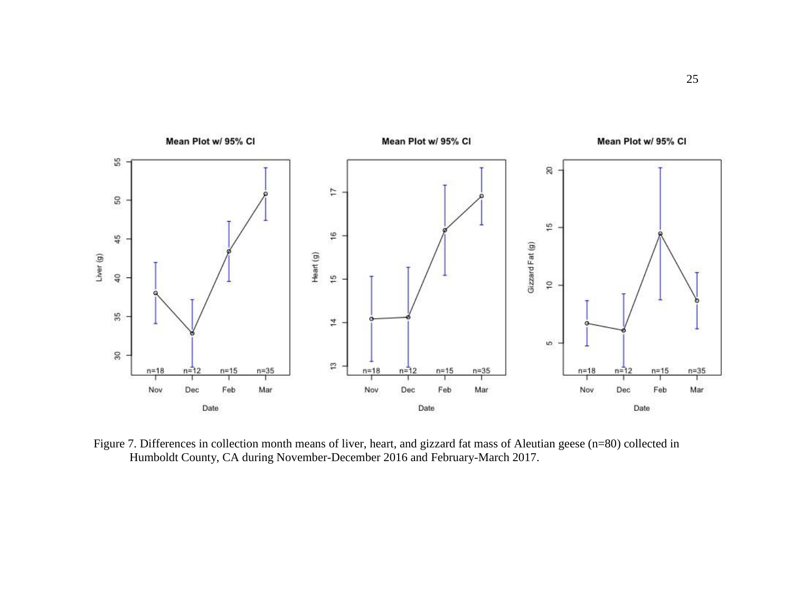

<span id="page-32-0"></span>Figure 7. Differences in collection month means of liver, heart, and gizzard fat mass of Aleutian geese (n=80) collected in Humboldt County, CA during November-December 2016 and February-March 2017.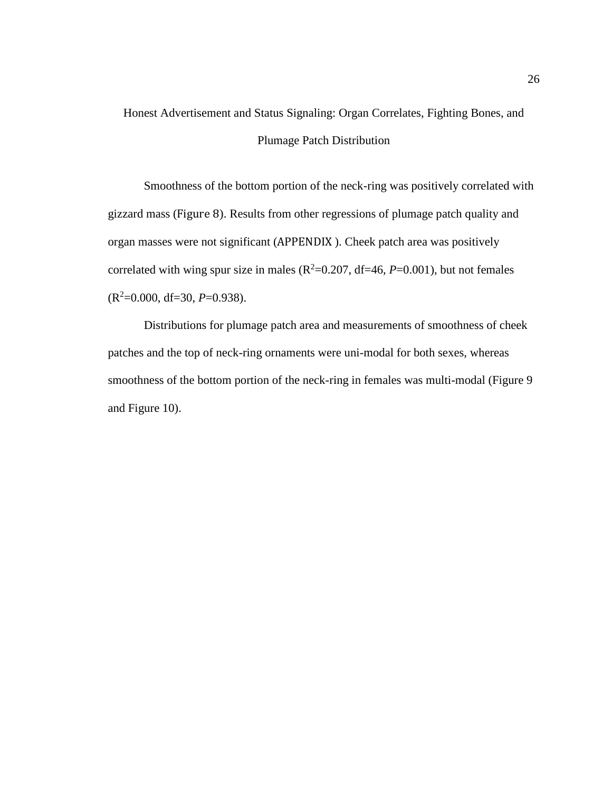# Honest Advertisement and Status Signaling: Organ Correlates, Fighting Bones, and Plumage Patch Distribution

Smoothness of the bottom portion of the neck-ring was positively correlated with gizzard mass ([Figure 8](#page-34-0)). Results from other regressions of plumage patch quality and organ masses were not significant ([APPENDIX](#page-54-0) ). Cheek patch area was positively correlated with wing spur size in males  $(R^2=0.207, df=46, P=0.001)$ , but not females (R<sup>2</sup>=0.000, df=30, *P*=0.938).

Distributions for plumage patch area and measurements of smoothness of cheek patches and the top of neck-ring ornaments were uni-modal for both sexes, whereas smoothness of the bottom portion of the neck-ring in females was multi-modal [\(Figure 9](#page-35-0) and [Figure 10\)](#page-36-0).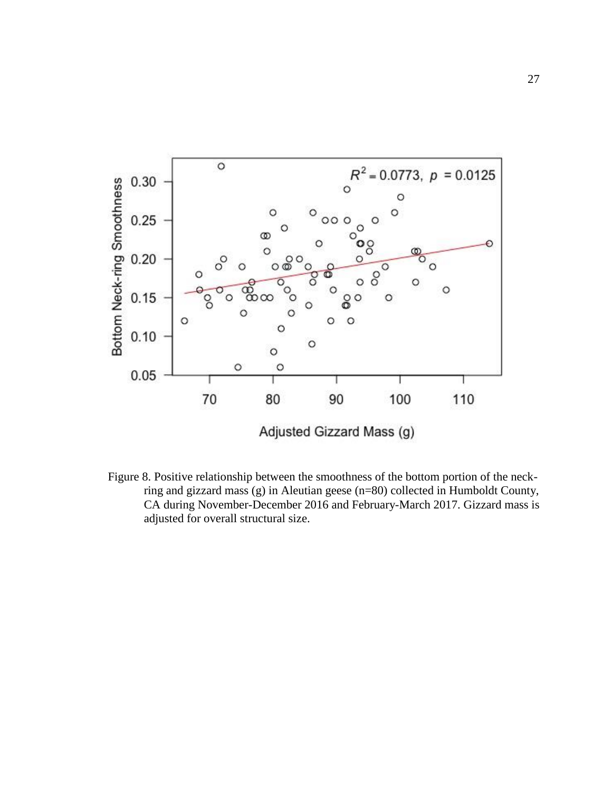

<span id="page-34-0"></span>Figure 8. Positive relationship between the smoothness of the bottom portion of the neckring and gizzard mass (g) in Aleutian geese (n=80) collected in Humboldt County, CA during November-December 2016 and February-March 2017. Gizzard mass is adjusted for overall structural size.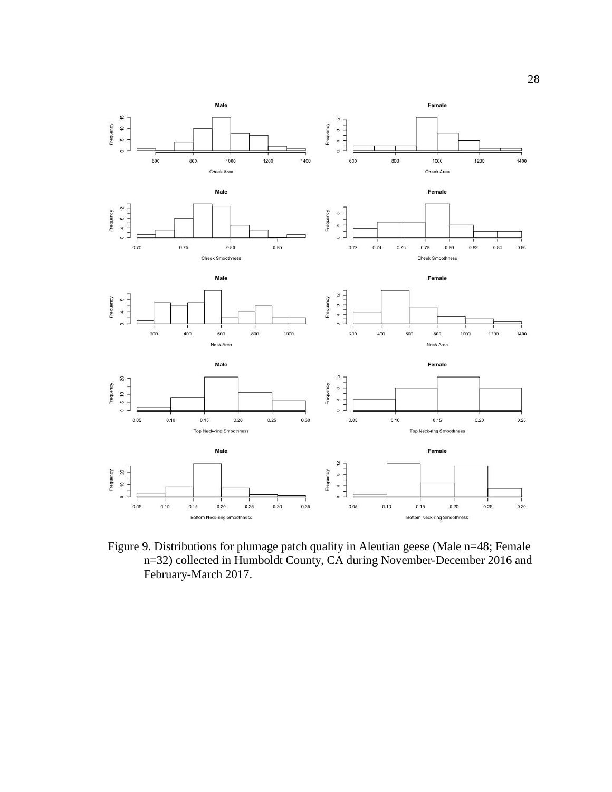

<span id="page-35-0"></span>Figure 9. Distributions for plumage patch quality in Aleutian geese (Male n=48; Female n=32) collected in Humboldt County, CA during November-December 2016 and February-March 2017.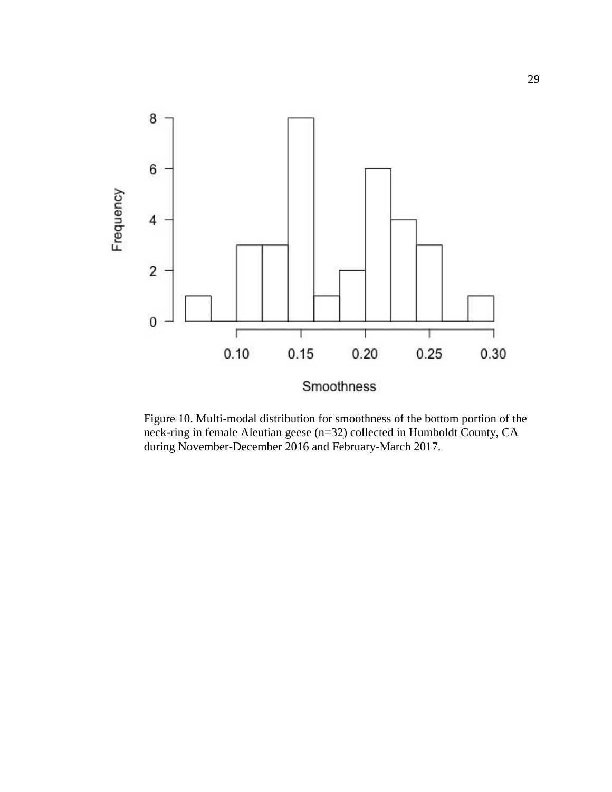

<span id="page-36-0"></span>Figure 10. Multi-modal distribution for smoothness of the bottom portion of the neck-ring in female Aleutian geese (n=32) collected in Humboldt County, CA during November-December 2016 and February-March 2017.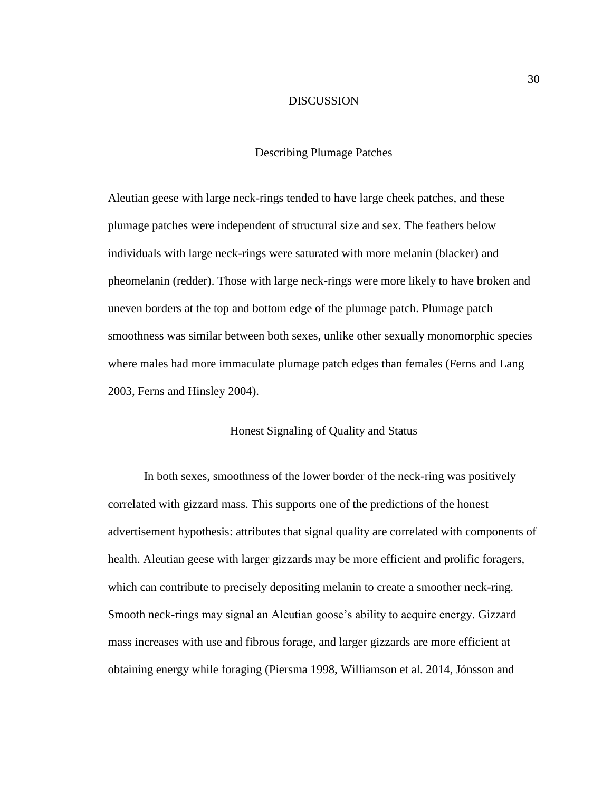#### DISCUSSION

#### Describing Plumage Patches

Aleutian geese with large neck-rings tended to have large cheek patches, and these plumage patches were independent of structural size and sex. The feathers below individuals with large neck-rings were saturated with more melanin (blacker) and pheomelanin (redder). Those with large neck-rings were more likely to have broken and uneven borders at the top and bottom edge of the plumage patch. Plumage patch smoothness was similar between both sexes, unlike other sexually monomorphic species where males had more immaculate plumage patch edges than females (Ferns and Lang 2003, Ferns and Hinsley 2004).

## Honest Signaling of Quality and Status

In both sexes, smoothness of the lower border of the neck-ring was positively correlated with gizzard mass. This supports one of the predictions of the honest advertisement hypothesis: attributes that signal quality are correlated with components of health. Aleutian geese with larger gizzards may be more efficient and prolific foragers, which can contribute to precisely depositing melanin to create a smoother neck-ring. Smooth neck-rings may signal an Aleutian goose's ability to acquire energy. Gizzard mass increases with use and fibrous forage, and larger gizzards are more efficient at obtaining energy while foraging (Piersma 1998, Williamson et al. 2014, Jónsson and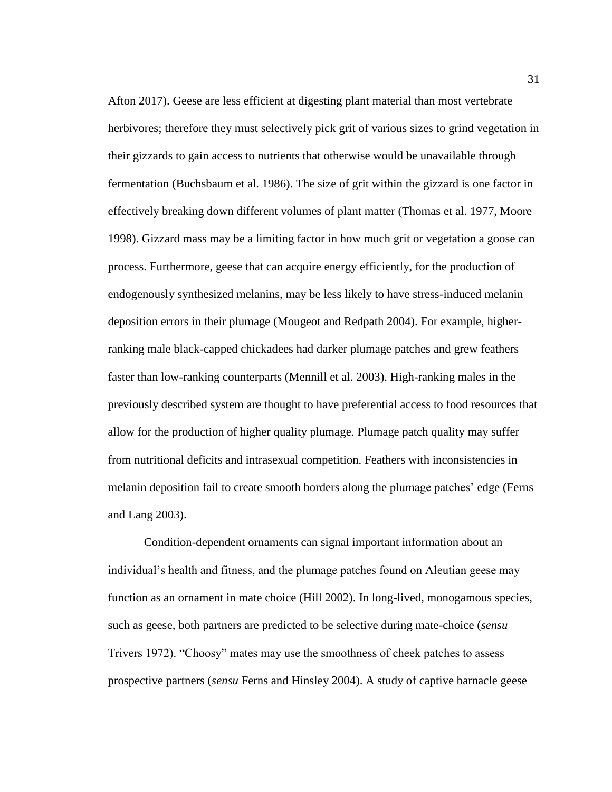Afton 2017). Geese are less efficient at digesting plant material than most vertebrate herbivores; therefore they must selectively pick grit of various sizes to grind vegetation in their gizzards to gain access to nutrients that otherwise would be unavailable through fermentation (Buchsbaum et al. 1986). The size of grit within the gizzard is one factor in effectively breaking down different volumes of plant matter (Thomas et al. 1977, Moore 1998). Gizzard mass may be a limiting factor in how much grit or vegetation a goose can process. Furthermore, geese that can acquire energy efficiently, for the production of endogenously synthesized melanins, may be less likely to have stress-induced melanin deposition errors in their plumage (Mougeot and Redpath 2004). For example, higherranking male black-capped chickadees had darker plumage patches and grew feathers faster than low-ranking counterparts (Mennill et al. 2003). High-ranking males in the previously described system are thought to have preferential access to food resources that allow for the production of higher quality plumage. Plumage patch quality may suffer from nutritional deficits and intrasexual competition. Feathers with inconsistencies in melanin deposition fail to create smooth borders along the plumage patches' edge (Ferns and Lang 2003).

Condition-dependent ornaments can signal important information about an individual's health and fitness, and the plumage patches found on Aleutian geese may function as an ornament in mate choice (Hill 2002). In long-lived, monogamous species, such as geese, both partners are predicted to be selective during mate-choice (*sensu*  Trivers 1972). "Choosy" mates may use the smoothness of cheek patches to assess prospective partners (*sensu* Ferns and Hinsley 2004). A study of captive barnacle geese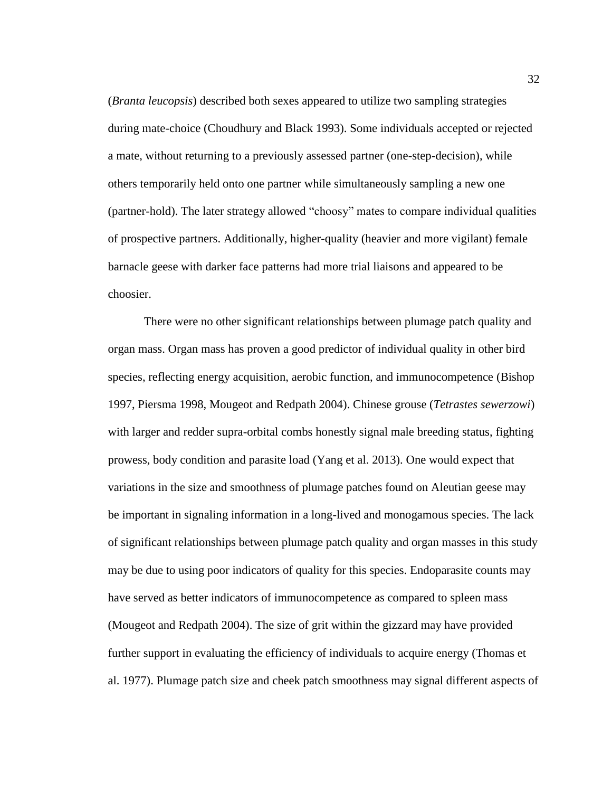(*Branta leucopsis*) described both sexes appeared to utilize two sampling strategies during mate-choice (Choudhury and Black 1993). Some individuals accepted or rejected a mate, without returning to a previously assessed partner (one-step-decision), while others temporarily held onto one partner while simultaneously sampling a new one (partner-hold). The later strategy allowed "choosy" mates to compare individual qualities of prospective partners. Additionally, higher-quality (heavier and more vigilant) female barnacle geese with darker face patterns had more trial liaisons and appeared to be choosier.

There were no other significant relationships between plumage patch quality and organ mass. Organ mass has proven a good predictor of individual quality in other bird species, reflecting energy acquisition, aerobic function, and immunocompetence (Bishop 1997, Piersma 1998, Mougeot and Redpath 2004). Chinese grouse (*Tetrastes sewerzowi*) with larger and redder supra-orbital combs honestly signal male breeding status, fighting prowess, body condition and parasite load (Yang et al. 2013). One would expect that variations in the size and smoothness of plumage patches found on Aleutian geese may be important in signaling information in a long-lived and monogamous species. The lack of significant relationships between plumage patch quality and organ masses in this study may be due to using poor indicators of quality for this species. Endoparasite counts may have served as better indicators of immunocompetence as compared to spleen mass (Mougeot and Redpath 2004). The size of grit within the gizzard may have provided further support in evaluating the efficiency of individuals to acquire energy (Thomas et al. 1977). Plumage patch size and cheek patch smoothness may signal different aspects of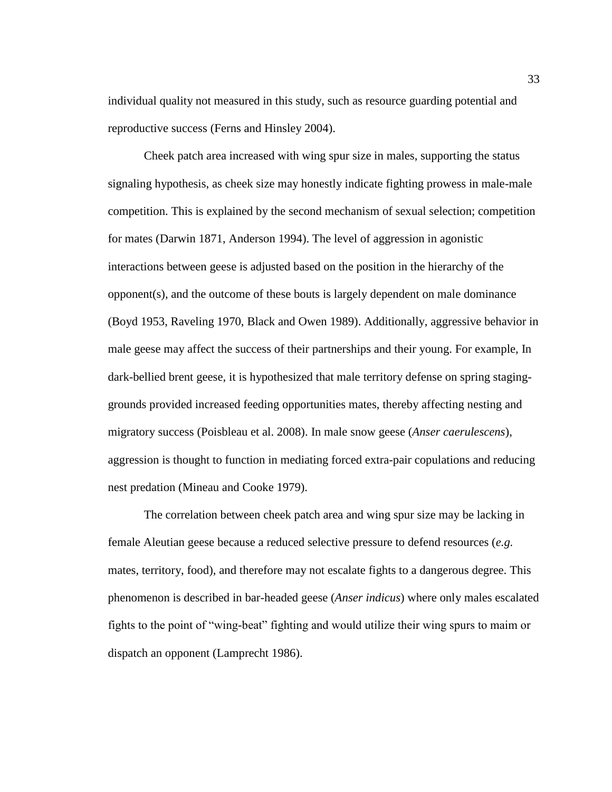individual quality not measured in this study, such as resource guarding potential and reproductive success (Ferns and Hinsley 2004).

Cheek patch area increased with wing spur size in males, supporting the status signaling hypothesis, as cheek size may honestly indicate fighting prowess in male-male competition. This is explained by the second mechanism of sexual selection; competition for mates (Darwin 1871, Anderson 1994). The level of aggression in agonistic interactions between geese is adjusted based on the position in the hierarchy of the opponent(s), and the outcome of these bouts is largely dependent on male dominance (Boyd 1953, Raveling 1970, Black and Owen 1989). Additionally, aggressive behavior in male geese may affect the success of their partnerships and their young. For example, In dark-bellied brent geese, it is hypothesized that male territory defense on spring staginggrounds provided increased feeding opportunities mates, thereby affecting nesting and migratory success (Poisbleau et al. 2008). In male snow geese (*Anser caerulescens*), aggression is thought to function in mediating forced extra-pair copulations and reducing nest predation (Mineau and Cooke 1979).

The correlation between cheek patch area and wing spur size may be lacking in female Aleutian geese because a reduced selective pressure to defend resources (*e.g.*  mates, territory, food), and therefore may not escalate fights to a dangerous degree. This phenomenon is described in bar-headed geese (*Anser indicus*) where only males escalated fights to the point of "wing-beat" fighting and would utilize their wing spurs to maim or dispatch an opponent (Lamprecht 1986).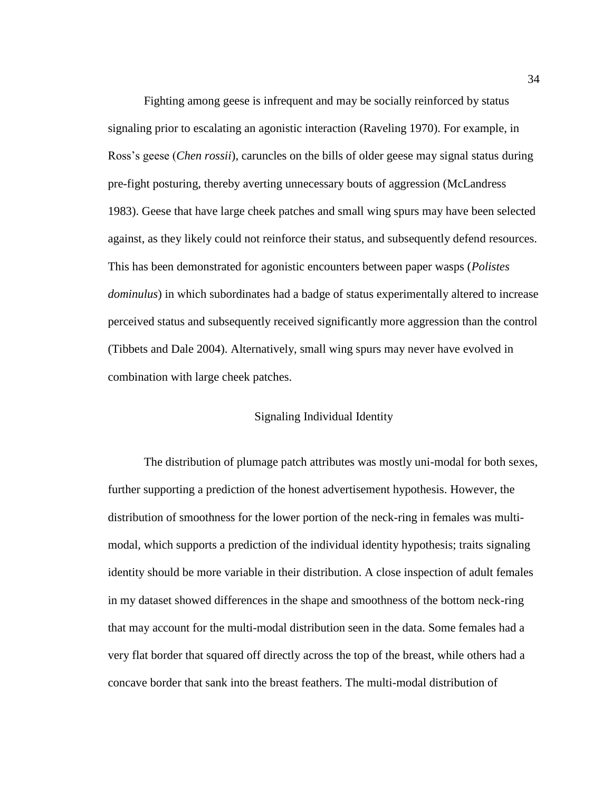Fighting among geese is infrequent and may be socially reinforced by status signaling prior to escalating an agonistic interaction (Raveling 1970). For example, in Ross's geese (*Chen rossii*), caruncles on the bills of older geese may signal status during pre-fight posturing, thereby averting unnecessary bouts of aggression (McLandress 1983). Geese that have large cheek patches and small wing spurs may have been selected against, as they likely could not reinforce their status, and subsequently defend resources. This has been demonstrated for agonistic encounters between paper wasps (*Polistes dominulus*) in which subordinates had a badge of status experimentally altered to increase perceived status and subsequently received significantly more aggression than the control (Tibbets and Dale 2004). Alternatively, small wing spurs may never have evolved in combination with large cheek patches.

#### Signaling Individual Identity

The distribution of plumage patch attributes was mostly uni-modal for both sexes, further supporting a prediction of the honest advertisement hypothesis. However, the distribution of smoothness for the lower portion of the neck-ring in females was multimodal, which supports a prediction of the individual identity hypothesis; traits signaling identity should be more variable in their distribution. A close inspection of adult females in my dataset showed differences in the shape and smoothness of the bottom neck-ring that may account for the multi-modal distribution seen in the data. Some females had a very flat border that squared off directly across the top of the breast, while others had a concave border that sank into the breast feathers. The multi-modal distribution of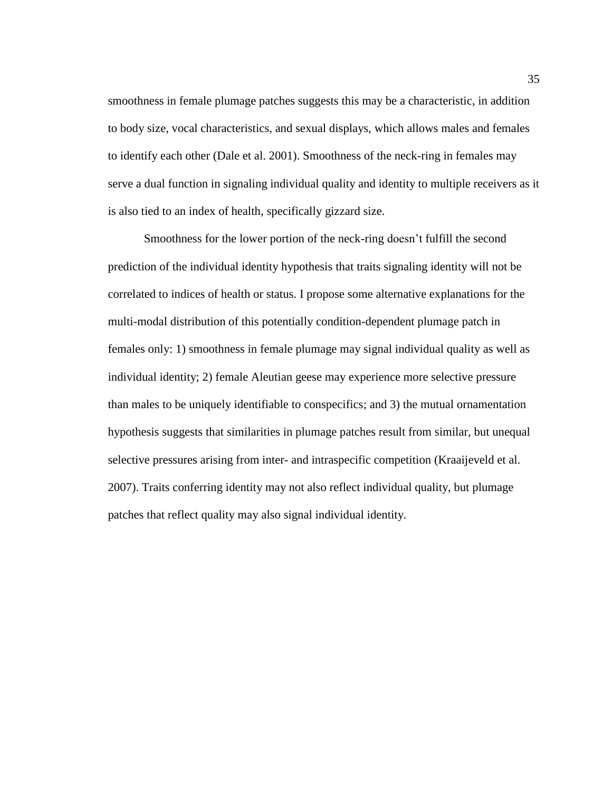smoothness in female plumage patches suggests this may be a characteristic, in addition to body size, vocal characteristics, and sexual displays, which allows males and females to identify each other (Dale et al. 2001). Smoothness of the neck-ring in females may serve a dual function in signaling individual quality and identity to multiple receivers as it is also tied to an index of health, specifically gizzard size.

Smoothness for the lower portion of the neck-ring doesn't fulfill the second prediction of the individual identity hypothesis that traits signaling identity will not be correlated to indices of health or status. I propose some alternative explanations for the multi-modal distribution of this potentially condition-dependent plumage patch in females only: 1) smoothness in female plumage may signal individual quality as well as individual identity; 2) female Aleutian geese may experience more selective pressure than males to be uniquely identifiable to conspecifics; and 3) the mutual ornamentation hypothesis suggests that similarities in plumage patches result from similar, but unequal selective pressures arising from inter- and intraspecific competition (Kraaijeveld et al. 2007). Traits conferring identity may not also reflect individual quality, but plumage patches that reflect quality may also signal individual identity.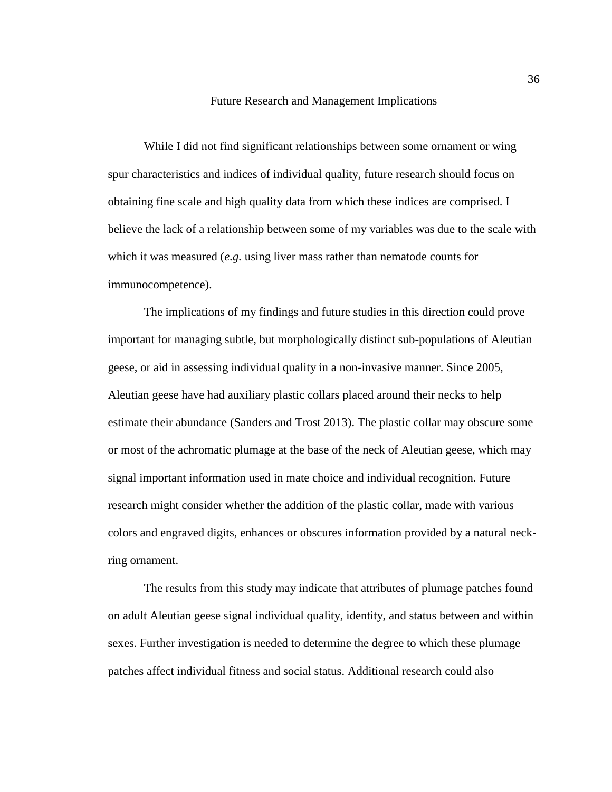#### Future Research and Management Implications

While I did not find significant relationships between some ornament or wing spur characteristics and indices of individual quality, future research should focus on obtaining fine scale and high quality data from which these indices are comprised. I believe the lack of a relationship between some of my variables was due to the scale with which it was measured (*e.g.* using liver mass rather than nematode counts for immunocompetence).

The implications of my findings and future studies in this direction could prove important for managing subtle, but morphologically distinct sub-populations of Aleutian geese, or aid in assessing individual quality in a non-invasive manner. Since 2005, Aleutian geese have had auxiliary plastic collars placed around their necks to help estimate their abundance (Sanders and Trost 2013). The plastic collar may obscure some or most of the achromatic plumage at the base of the neck of Aleutian geese, which may signal important information used in mate choice and individual recognition. Future research might consider whether the addition of the plastic collar, made with various colors and engraved digits, enhances or obscures information provided by a natural neckring ornament.

The results from this study may indicate that attributes of plumage patches found on adult Aleutian geese signal individual quality, identity, and status between and within sexes. Further investigation is needed to determine the degree to which these plumage patches affect individual fitness and social status. Additional research could also

36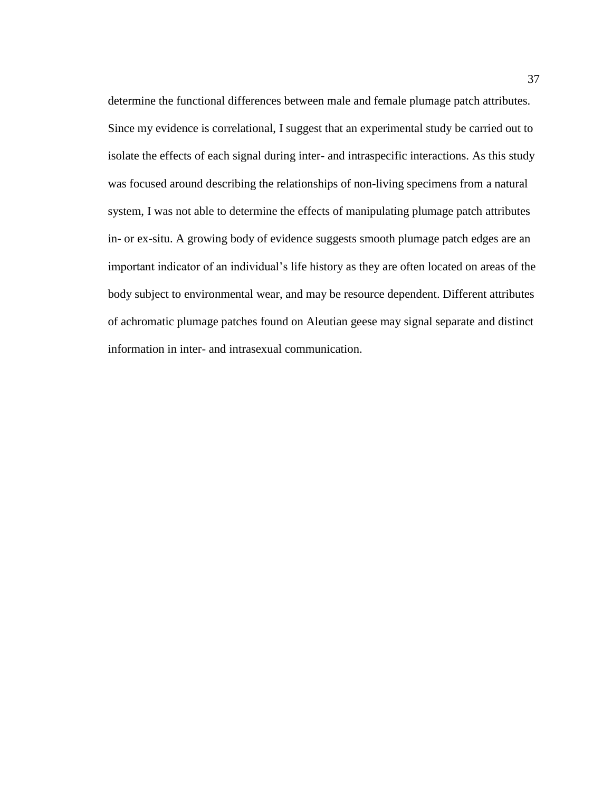determine the functional differences between male and female plumage patch attributes. Since my evidence is correlational, I suggest that an experimental study be carried out to isolate the effects of each signal during inter- and intraspecific interactions. As this study was focused around describing the relationships of non-living specimens from a natural system, I was not able to determine the effects of manipulating plumage patch attributes in- or ex-situ. A growing body of evidence suggests smooth plumage patch edges are an important indicator of an individual's life history as they are often located on areas of the body subject to environmental wear, and may be resource dependent. Different attributes of achromatic plumage patches found on Aleutian geese may signal separate and distinct information in inter- and intrasexual communication.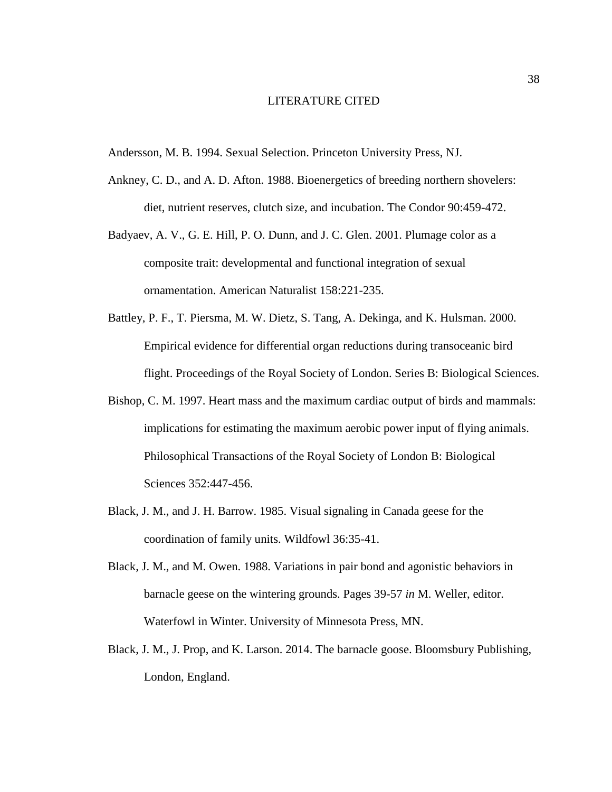#### LITERATURE CITED

Andersson, M. B. 1994. Sexual Selection. Princeton University Press, NJ.

- Ankney, C. D., and A. D. Afton. 1988. Bioenergetics of breeding northern shovelers: diet, nutrient reserves, clutch size, and incubation. The Condor 90:459-472.
- Badyaev, A. V., G. E. Hill, P. O. Dunn, and J. C. Glen. 2001. Plumage color as a composite trait: developmental and functional integration of sexual ornamentation. American Naturalist 158:221-235.
- Battley, P. F., T. Piersma, M. W. Dietz, S. Tang, A. Dekinga, and K. Hulsman. 2000. Empirical evidence for differential organ reductions during transoceanic bird flight. Proceedings of the Royal Society of London. Series B: Biological Sciences.
- Bishop, C. M. 1997. Heart mass and the maximum cardiac output of birds and mammals: implications for estimating the maximum aerobic power input of flying animals. Philosophical Transactions of the Royal Society of London B: Biological Sciences 352:447-456.
- Black, J. M., and J. H. Barrow. 1985. Visual signaling in Canada geese for the coordination of family units. Wildfowl 36:35-41.
- Black, J. M., and M. Owen. 1988. Variations in pair bond and agonistic behaviors in barnacle geese on the wintering grounds. Pages 39-57 *in* M. Weller, editor. Waterfowl in Winter. University of Minnesota Press, MN.
- Black, J. M., J. Prop, and K. Larson. 2014. The barnacle goose. Bloomsbury Publishing, London, England.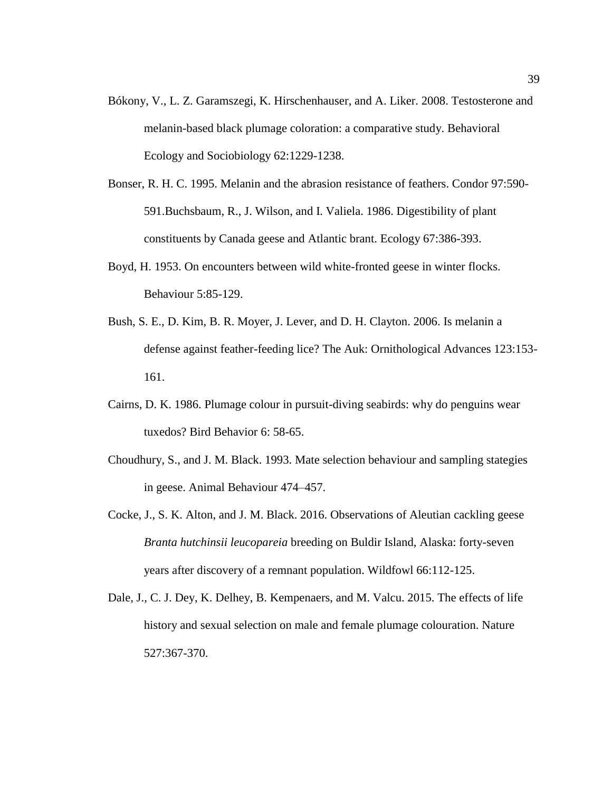- Bókony, V., L. Z. Garamszegi, K. Hirschenhauser, and A. Liker. 2008. Testosterone and melanin-based black plumage coloration: a comparative study. Behavioral Ecology and Sociobiology 62:1229-1238.
- Bonser, R. H. C. 1995. Melanin and the abrasion resistance of feathers. Condor 97:590- 591.Buchsbaum, R., J. Wilson, and I. Valiela. 1986. Digestibility of plant constituents by Canada geese and Atlantic brant. Ecology 67:386-393.
- Boyd, H. 1953. On encounters between wild white-fronted geese in winter flocks. Behaviour 5:85-129.
- Bush, S. E., D. Kim, B. R. Moyer, J. Lever, and D. H. Clayton. 2006. Is melanin a defense against feather-feeding lice? The Auk: Ornithological Advances 123:153- 161.
- Cairns, D. K. 1986. Plumage colour in pursuit-diving seabirds: why do penguins wear tuxedos? Bird Behavior 6: 58-65.
- Choudhury, S., and J. M. Black. 1993. Mate selection behaviour and sampling stategies in geese. Animal Behaviour 474–457.
- Cocke, J., S. K. Alton, and J. M. Black. 2016. Observations of Aleutian cackling geese *Branta hutchinsii leucopareia* breeding on Buldir Island, Alaska: forty-seven years after discovery of a remnant population. Wildfowl 66:112-125.
- Dale, J., C. J. Dey, K. Delhey, B. Kempenaers, and M. Valcu. 2015. The effects of life history and sexual selection on male and female plumage colouration. Nature 527:367-370.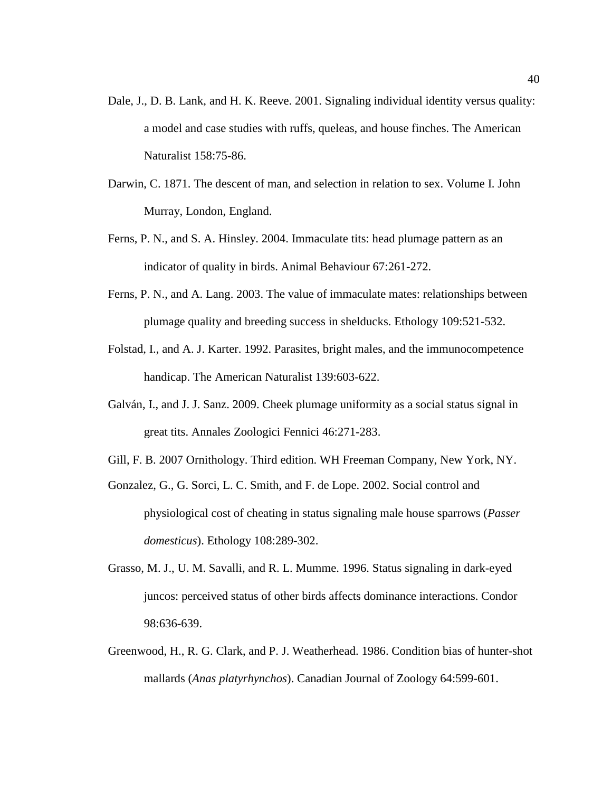- Dale, J., D. B. Lank, and H. K. Reeve. 2001. Signaling individual identity versus quality: a model and case studies with ruffs, queleas, and house finches. The American Naturalist 158:75-86.
- Darwin, C. 1871. The descent of man, and selection in relation to sex. Volume I. John Murray, London, England.
- Ferns, P. N., and S. A. Hinsley. 2004. Immaculate tits: head plumage pattern as an indicator of quality in birds. Animal Behaviour 67:261-272.
- Ferns, P. N., and A. Lang. 2003. The value of immaculate mates: relationships between plumage quality and breeding success in shelducks. Ethology 109:521-532.
- Folstad, I., and A. J. Karter. 1992. Parasites, bright males, and the immunocompetence handicap. The American Naturalist 139:603-622.
- Galván, I., and J. J. Sanz. 2009. Cheek plumage uniformity as a social status signal in great tits. Annales Zoologici Fennici 46:271-283.
- Gill, F. B. 2007 Ornithology. Third edition. WH Freeman Company, New York, NY.
- Gonzalez, G., G. Sorci, L. C. Smith, and F. de Lope. 2002. Social control and physiological cost of cheating in status signaling male house sparrows (*Passer domesticus*). Ethology 108:289-302.
- Grasso, M. J., U. M. Savalli, and R. L. Mumme. 1996. Status signaling in dark-eyed juncos: perceived status of other birds affects dominance interactions. Condor 98:636-639.
- Greenwood, H., R. G. Clark, and P. J. Weatherhead. 1986. Condition bias of hunter-shot mallards (*Anas platyrhynchos*). Canadian Journal of Zoology 64:599-601.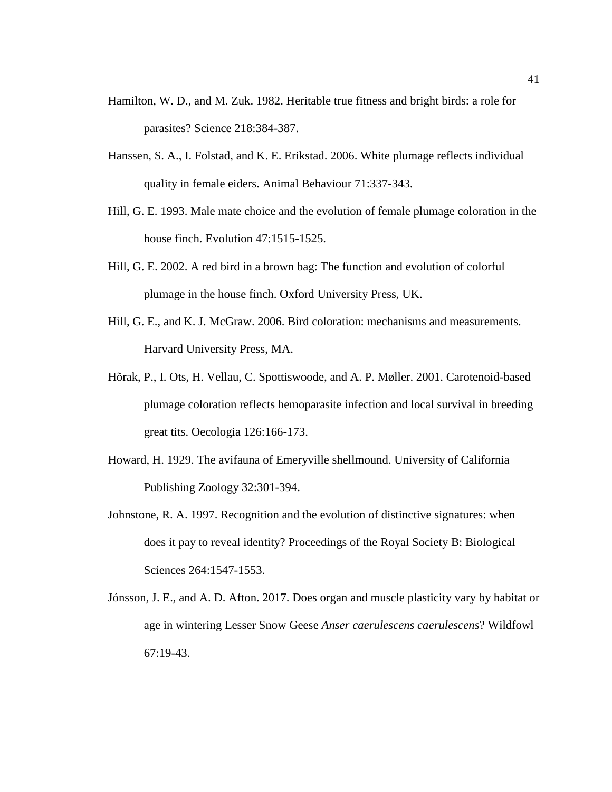- Hamilton, W. D., and M. Zuk. 1982. Heritable true fitness and bright birds: a role for parasites? Science 218:384-387.
- Hanssen, S. A., I. Folstad, and K. E. Erikstad. 2006. White plumage reflects individual quality in female eiders. Animal Behaviour 71:337-343.
- Hill, G. E. 1993. Male mate choice and the evolution of female plumage coloration in the house finch. Evolution 47:1515-1525.
- Hill, G. E. 2002. A red bird in a brown bag: The function and evolution of colorful plumage in the house finch. Oxford University Press, UK.
- Hill, G. E., and K. J. McGraw. 2006. Bird coloration: mechanisms and measurements. Harvard University Press, MA.
- Hõrak, P., I. Ots, H. Vellau, C. Spottiswoode, and A. P. Møller. 2001. Carotenoid-based plumage coloration reflects hemoparasite infection and local survival in breeding great tits. Oecologia 126:166-173.
- Howard, H. 1929. The avifauna of Emeryville shellmound. University of California Publishing Zoology 32:301-394.
- Johnstone, R. A. 1997. Recognition and the evolution of distinctive signatures: when does it pay to reveal identity? Proceedings of the Royal Society B: Biological Sciences 264:1547-1553.
- Jónsson, J. E., and A. D. Afton. 2017. Does organ and muscle plasticity vary by habitat or age in wintering Lesser Snow Geese *Anser caerulescens caerulescens*? Wildfowl 67:19-43.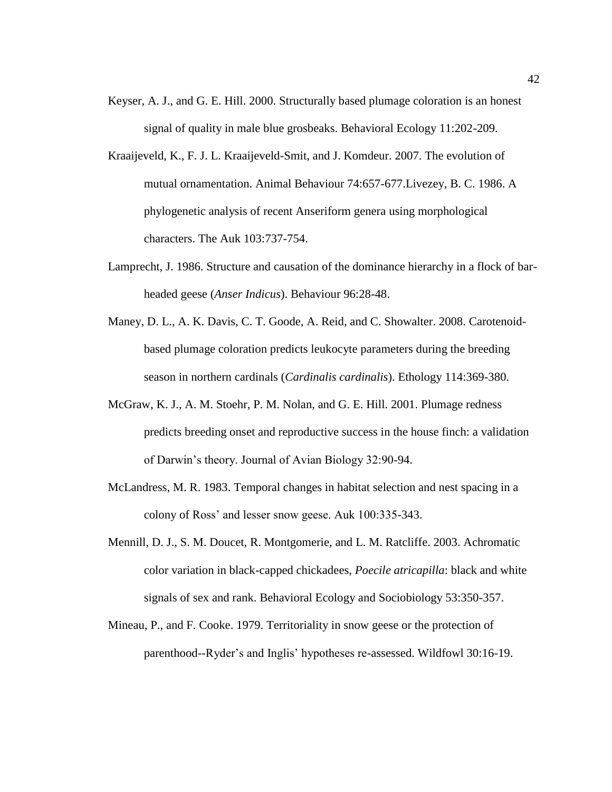- Keyser, A. J., and G. E. Hill. 2000. Structurally based plumage coloration is an honest signal of quality in male blue grosbeaks. Behavioral Ecology 11:202-209.
- Kraaijeveld, K., F. J. L. Kraaijeveld-Smit, and J. Komdeur. 2007. The evolution of mutual ornamentation. Animal Behaviour 74:657-677.Livezey, B. C. 1986. A phylogenetic analysis of recent Anseriform genera using morphological characters. The Auk 103:737-754.
- Lamprecht, J. 1986. Structure and causation of the dominance hierarchy in a flock of barheaded geese (*Anser Indicus*). Behaviour 96:28-48.
- Maney, D. L., A. K. Davis, C. T. Goode, A. Reid, and C. Showalter. 2008. Carotenoidbased plumage coloration predicts leukocyte parameters during the breeding season in northern cardinals (*Cardinalis cardinalis*). Ethology 114:369-380.
- McGraw, K. J., A. M. Stoehr, P. M. Nolan, and G. E. Hill. 2001. Plumage redness predicts breeding onset and reproductive success in the house finch: a validation of Darwin's theory. Journal of Avian Biology 32:90-94.
- McLandress, M. R. 1983. Temporal changes in habitat selection and nest spacing in a colony of Ross' and lesser snow geese. Auk 100:335-343.
- Mennill, D. J., S. M. Doucet, R. Montgomerie, and L. M. Ratcliffe. 2003. Achromatic color variation in black-capped chickadees, *Poecile atricapilla*: black and white signals of sex and rank. Behavioral Ecology and Sociobiology 53:350-357.
- Mineau, P., and F. Cooke. 1979. Territoriality in snow geese or the protection of parenthood--Ryder's and Inglis' hypotheses re-assessed. Wildfowl 30:16-19.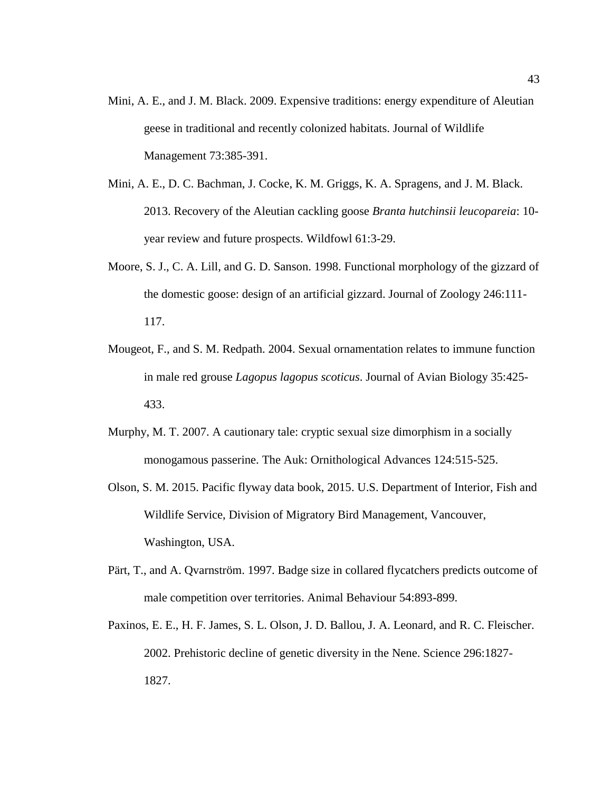- Mini, A. E., and J. M. Black. 2009. Expensive traditions: energy expenditure of Aleutian geese in traditional and recently colonized habitats. Journal of Wildlife Management 73:385-391.
- Mini, A. E., D. C. Bachman, J. Cocke, K. M. Griggs, K. A. Spragens, and J. M. Black. 2013. Recovery of the Aleutian cackling goose *Branta hutchinsii leucopareia*: 10 year review and future prospects. Wildfowl 61:3-29.
- Moore, S. J., C. A. Lill, and G. D. Sanson. 1998. Functional morphology of the gizzard of the domestic goose: design of an artificial gizzard. Journal of Zoology 246:111- 117.
- Mougeot, F., and S. M. Redpath. 2004. Sexual ornamentation relates to immune function in male red grouse *Lagopus lagopus scoticus*. Journal of Avian Biology 35:425- 433.
- Murphy, M. T. 2007. A cautionary tale: cryptic sexual size dimorphism in a socially monogamous passerine. The Auk: Ornithological Advances 124:515-525.
- Olson, S. M. 2015. Pacific flyway data book, 2015. U.S. Department of Interior, Fish and Wildlife Service, Division of Migratory Bird Management, Vancouver, Washington, USA.
- Pärt, T., and A. Qvarnström. 1997. Badge size in collared flycatchers predicts outcome of male competition over territories. Animal Behaviour 54:893-899.
- Paxinos, E. E., H. F. James, S. L. Olson, J. D. Ballou, J. A. Leonard, and R. C. Fleischer. 2002. Prehistoric decline of genetic diversity in the Nene. Science 296:1827- 1827.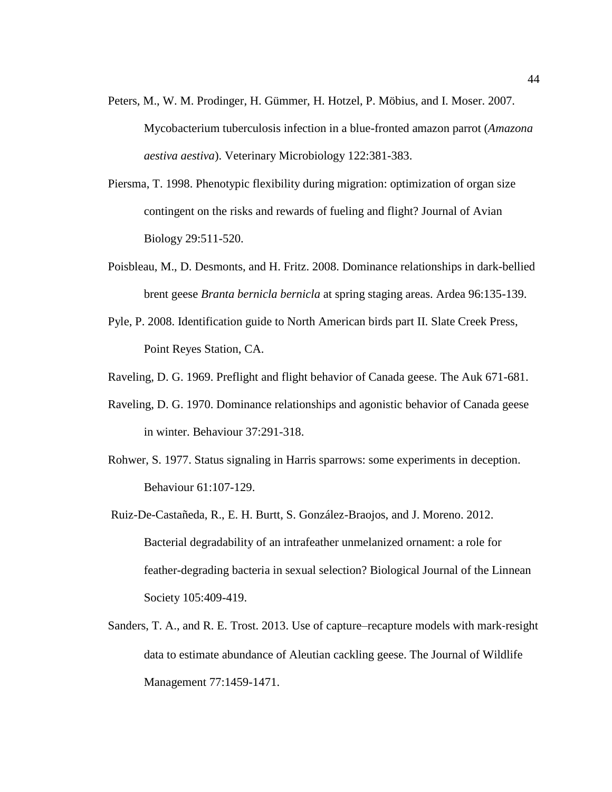- Peters, M., W. M. Prodinger, H. Gümmer, H. Hotzel, P. Möbius, and I. Moser. 2007. Mycobacterium tuberculosis infection in a blue-fronted amazon parrot (*Amazona aestiva aestiva*). Veterinary Microbiology 122:381-383.
- Piersma, T. 1998. Phenotypic flexibility during migration: optimization of organ size contingent on the risks and rewards of fueling and flight? Journal of Avian Biology 29:511-520.
- Poisbleau, M., D. Desmonts, and H. Fritz. 2008. Dominance relationships in dark-bellied brent geese *Branta bernicla bernicla* at spring staging areas. Ardea 96:135-139.
- Pyle, P. 2008. Identification guide to North American birds part II. Slate Creek Press, Point Reyes Station, CA.
- Raveling, D. G. 1969. Preflight and flight behavior of Canada geese. The Auk 671-681.
- Raveling, D. G. 1970. Dominance relationships and agonistic behavior of Canada geese in winter. Behaviour 37:291-318.
- Rohwer, S. 1977. Status signaling in Harris sparrows: some experiments in deception. Behaviour 61:107-129.
- Ruiz-De-Castañeda, R., E. H. Burtt, S. González-Braojos, and J. Moreno. 2012. Bacterial degradability of an intrafeather unmelanized ornament: a role for feather-degrading bacteria in sexual selection? Biological Journal of the Linnean Society 105:409-419.
- Sanders, T. A., and R. E. Trost. 2013. Use of capture–recapture models with mark‐resight data to estimate abundance of Aleutian cackling geese. The Journal of Wildlife Management 77:1459-1471.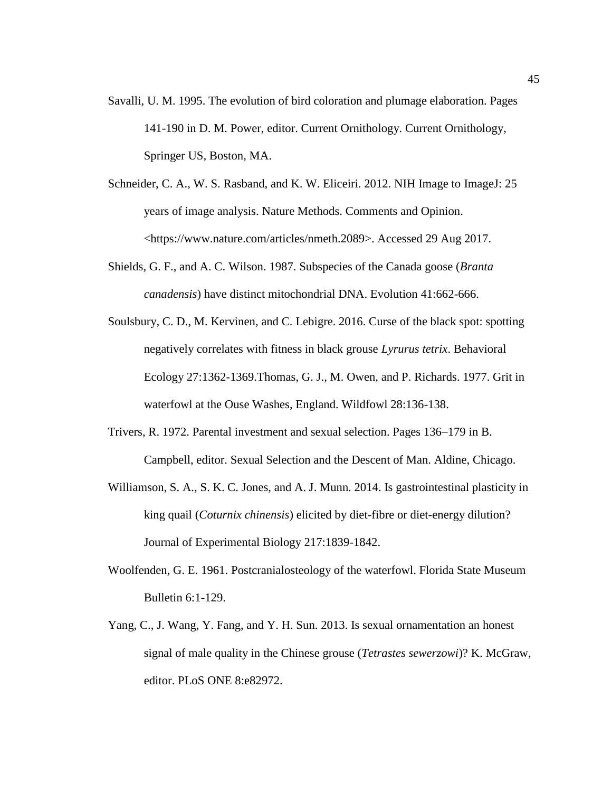- Savalli, U. M. 1995. The evolution of bird coloration and plumage elaboration. Pages 141-190 in D. M. Power, editor. Current Ornithology. Current Ornithology, Springer US, Boston, MA.
- Schneider, C. A., W. S. Rasband, and K. W. Eliceiri. 2012. NIH Image to ImageJ: 25 years of image analysis. Nature Methods. Comments and Opinion. <https://www.nature.com/articles/nmeth.2089>. Accessed 29 Aug 2017.
- Shields, G. F., and A. C. Wilson. 1987. Subspecies of the Canada goose (*Branta canadensis*) have distinct mitochondrial DNA. Evolution 41:662-666.
- Soulsbury, C. D., M. Kervinen, and C. Lebigre. 2016. Curse of the black spot: spotting negatively correlates with fitness in black grouse *Lyrurus tetrix*. Behavioral Ecology 27:1362-1369.Thomas, G. J., M. Owen, and P. Richards. 1977. Grit in waterfowl at the Ouse Washes, England. Wildfowl 28:136-138.
- Trivers, R. 1972. Parental investment and sexual selection. Pages 136–179 in B. Campbell, editor. Sexual Selection and the Descent of Man. Aldine, Chicago.
- Williamson, S. A., S. K. C. Jones, and A. J. Munn. 2014. Is gastrointestinal plasticity in king quail (*Coturnix chinensis*) elicited by diet-fibre or diet-energy dilution? Journal of Experimental Biology 217:1839-1842.
- Woolfenden, G. E. 1961. Postcranialosteology of the waterfowl. Florida State Museum Bulletin 6:1-129.
- Yang, C., J. Wang, Y. Fang, and Y. H. Sun. 2013. Is sexual ornamentation an honest signal of male quality in the Chinese grouse (*Tetrastes sewerzowi*)? K. McGraw, editor. PLoS ONE 8:e82972.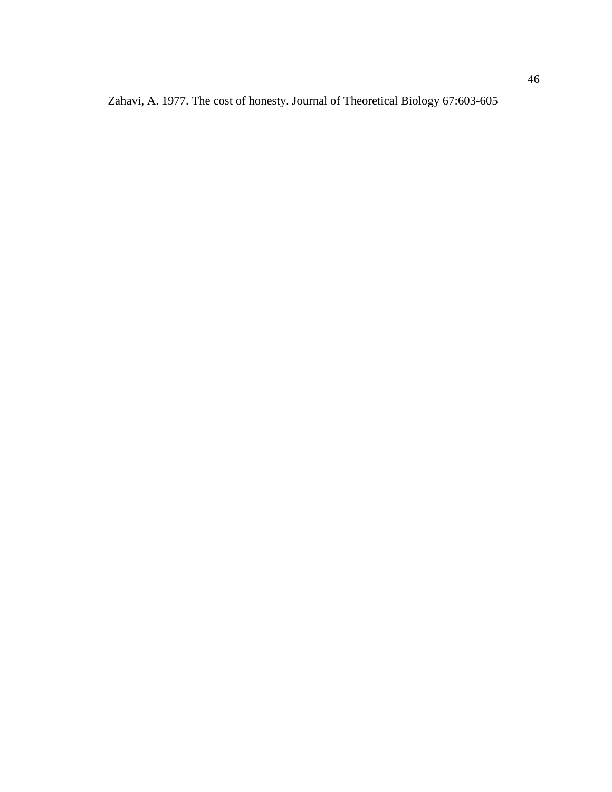Zahavi, A. 1977. The cost of honesty. Journal of Theoretical Biology 67:603-605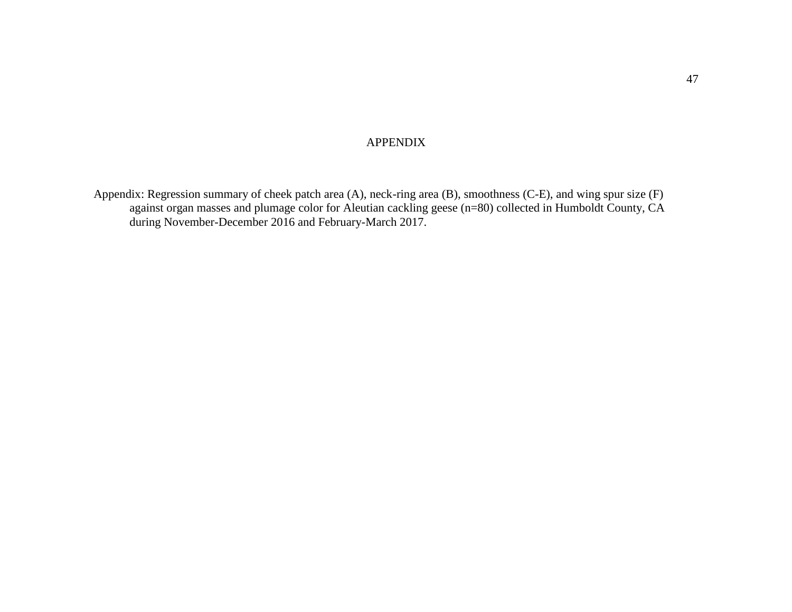## APPENDIX

<span id="page-54-0"></span>Appendix: Regression summary of cheek patch area (A), neck-ring area (B), smoothness (C-E), and wing spur size (F) against organ masses and plumage color for Aleutian cackling geese (n=80) collected in Humboldt County, CA during November-December 2016 and February-March 2017.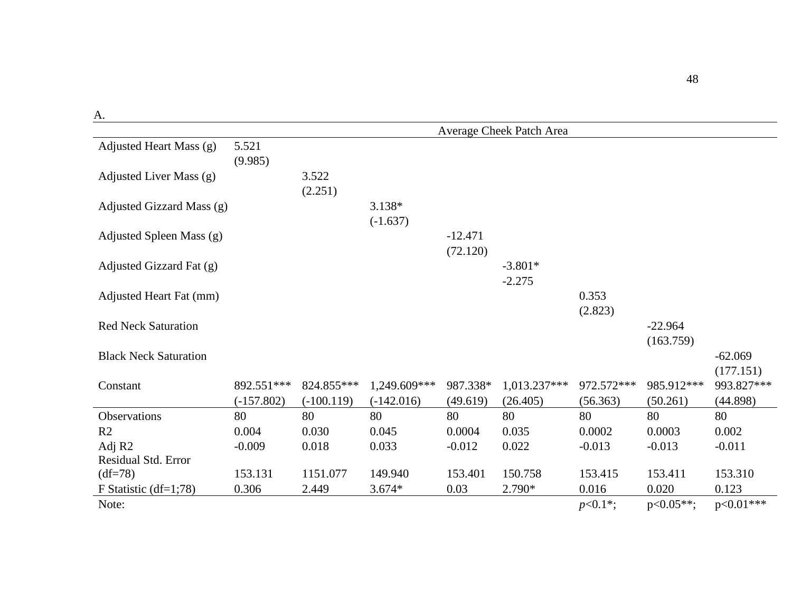|                              |                  |                  |                      |                       | Average Cheek Patch Area |                  |                        |                        |
|------------------------------|------------------|------------------|----------------------|-----------------------|--------------------------|------------------|------------------------|------------------------|
| Adjusted Heart Mass (g)      | 5.521<br>(9.985) |                  |                      |                       |                          |                  |                        |                        |
| Adjusted Liver Mass (g)      |                  | 3.522<br>(2.251) |                      |                       |                          |                  |                        |                        |
| Adjusted Gizzard Mass (g)    |                  |                  | 3.138*<br>$(-1.637)$ |                       |                          |                  |                        |                        |
| Adjusted Spleen Mass (g)     |                  |                  |                      | $-12.471$<br>(72.120) |                          |                  |                        |                        |
| Adjusted Gizzard Fat (g)     |                  |                  |                      |                       | $-3.801*$<br>$-2.275$    |                  |                        |                        |
| Adjusted Heart Fat (mm)      |                  |                  |                      |                       |                          | 0.353<br>(2.823) |                        |                        |
| <b>Red Neck Saturation</b>   |                  |                  |                      |                       |                          |                  | $-22.964$<br>(163.759) |                        |
| <b>Black Neck Saturation</b> |                  |                  |                      |                       |                          |                  |                        | $-62.069$<br>(177.151) |
| Constant                     | 892.551***       | 824.855***       | 1,249.609***         | 987.338*              | 1,013.237***             | 972.572***       | 985.912***             | 993.827***             |
|                              | $(-157.802)$     | $(-100.119)$     | $(-142.016)$         | (49.619)              | (26.405)                 | (56.363)         | (50.261)               | (44.898)               |
| Observations                 | 80               | 80               | 80                   | 80                    | 80                       | 80               | 80                     | 80                     |
| R <sub>2</sub>               | 0.004            | 0.030            | 0.045                | 0.0004                | 0.035                    | 0.0002           | 0.0003                 | 0.002                  |
| Adj R2                       | $-0.009$         | 0.018            | 0.033                | $-0.012$              | 0.022                    | $-0.013$         | $-0.013$               | $-0.011$               |
| Residual Std. Error          |                  |                  |                      |                       |                          |                  |                        |                        |
| $(df=78)$                    | 153.131          | 1151.077         | 149.940              | 153.401               | 150.758                  | 153.415          | 153.411                | 153.310                |
| F Statistic $(df=1;78)$      | 0.306            | 2.449            | $3.674*$             | 0.03                  | 2.790*                   | 0.016            | 0.020                  | 0.123                  |
| Note:                        |                  |                  |                      |                       |                          | $p<0.1*$ ;       | $p<0.05**;$            | $p<0.01***$            |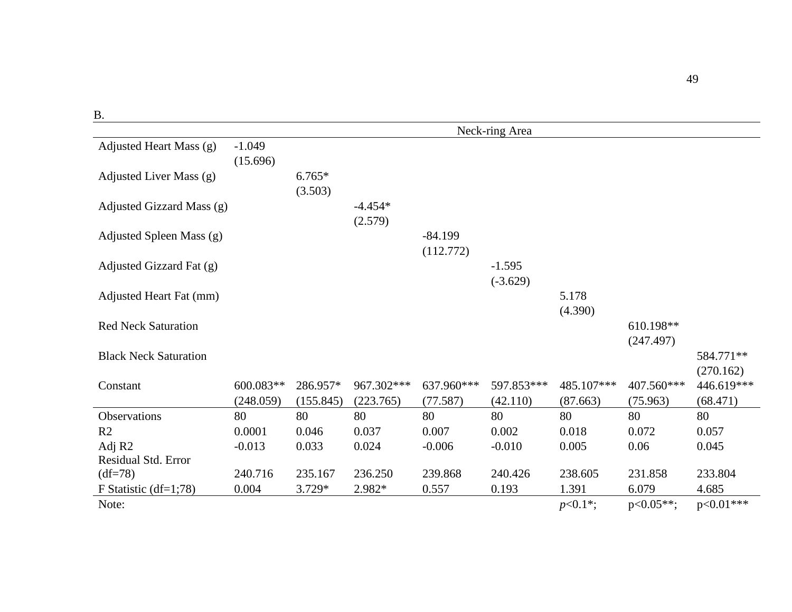| ÷<br>. . |   |
|----------|---|
| ×        |   |
| ۰.<br>٧  | × |

|                              |           |           |            |            | Neck-ring Area |            |              |             |
|------------------------------|-----------|-----------|------------|------------|----------------|------------|--------------|-------------|
| Adjusted Heart Mass (g)      | $-1.049$  |           |            |            |                |            |              |             |
|                              | (15.696)  |           |            |            |                |            |              |             |
| Adjusted Liver Mass (g)      |           | $6.765*$  |            |            |                |            |              |             |
|                              |           | (3.503)   |            |            |                |            |              |             |
| Adjusted Gizzard Mass (g)    |           |           | $-4.454*$  |            |                |            |              |             |
|                              |           |           | (2.579)    |            |                |            |              |             |
| Adjusted Spleen Mass (g)     |           |           |            | $-84.199$  |                |            |              |             |
|                              |           |           |            | (112.772)  |                |            |              |             |
| Adjusted Gizzard Fat (g)     |           |           |            |            | $-1.595$       |            |              |             |
|                              |           |           |            |            | $(-3.629)$     |            |              |             |
| Adjusted Heart Fat (mm)      |           |           |            |            |                | 5.178      |              |             |
|                              |           |           |            |            |                | (4.390)    |              |             |
| <b>Red Neck Saturation</b>   |           |           |            |            |                |            | 610.198**    |             |
|                              |           |           |            |            |                |            | (247.497)    |             |
| <b>Black Neck Saturation</b> |           |           |            |            |                |            |              | 584.771**   |
|                              |           |           |            |            |                |            |              | (270.162)   |
| Constant                     | 600.083** | 286.957*  | 967.302*** | 637.960*** | 597.853***     | 485.107*** | 407.560***   | 446.619***  |
|                              | (248.059) | (155.845) | (223.765)  | (77.587)   | (42.110)       | (87.663)   | (75.963)     | (68.471)    |
| Observations                 | 80        | 80        | 80         | 80         | 80             | 80         | 80           | 80          |
| R <sub>2</sub>               | 0.0001    | 0.046     | 0.037      | 0.007      | 0.002          | 0.018      | 0.072        | 0.057       |
| Adj R <sub>2</sub>           | $-0.013$  | 0.033     | 0.024      | $-0.006$   | $-0.010$       | 0.005      | 0.06         | 0.045       |
| Residual Std. Error          |           |           |            |            |                |            |              |             |
| $(df=78)$                    | 240.716   | 235.167   | 236.250    | 239.868    | 240.426        | 238.605    | 231.858      | 233.804     |
| F Statistic $(df=1;78)$      | 0.004     | $3.729*$  | 2.982*     | 0.557      | 0.193          | 1.391      | 6.079        | 4.685       |
| Note:                        |           |           |            |            |                | $p<0.1*;$  | $p<0.05**$ ; | $p<0.01***$ |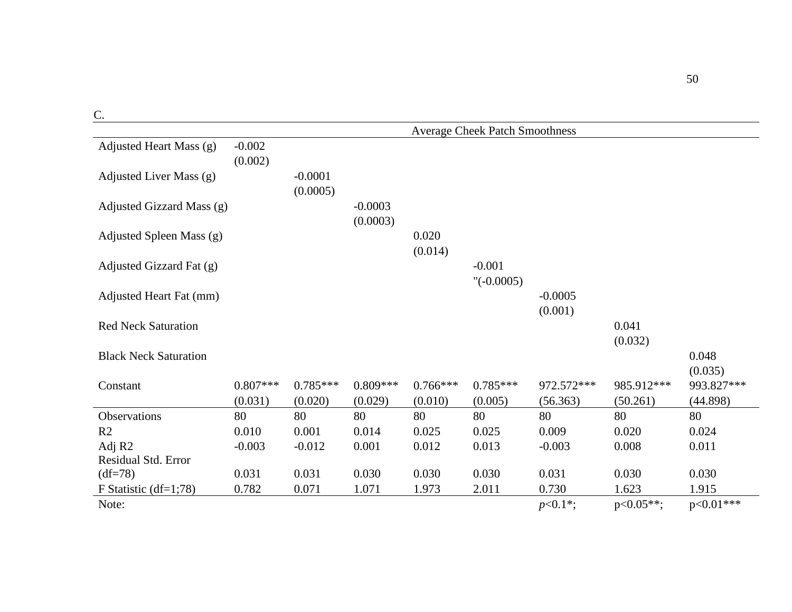| 197<br>ĉ |  |
|----------|--|
| C,<br>۰. |  |
| $\sim$   |  |

|                              | <b>Average Cheek Patch Smoothness</b> |                       |                       |                       |                          |                        |                        |                        |
|------------------------------|---------------------------------------|-----------------------|-----------------------|-----------------------|--------------------------|------------------------|------------------------|------------------------|
| Adjusted Heart Mass (g)      | $-0.002$                              |                       |                       |                       |                          |                        |                        |                        |
| Adjusted Liver Mass (g)      | (0.002)                               | $-0.0001$             |                       |                       |                          |                        |                        |                        |
| Adjusted Gizzard Mass (g)    |                                       | (0.0005)              | $-0.0003$             |                       |                          |                        |                        |                        |
|                              |                                       |                       | (0.0003)              |                       |                          |                        |                        |                        |
| Adjusted Spleen Mass (g)     |                                       |                       |                       | 0.020<br>(0.014)      |                          |                        |                        |                        |
| Adjusted Gizzard Fat (g)     |                                       |                       |                       |                       | $-0.001$<br>$"(-0.0005)$ |                        |                        |                        |
| Adjusted Heart Fat (mm)      |                                       |                       |                       |                       |                          | $-0.0005$              |                        |                        |
| <b>Red Neck Saturation</b>   |                                       |                       |                       |                       |                          | (0.001)                | 0.041                  |                        |
|                              |                                       |                       |                       |                       |                          |                        | (0.032)                |                        |
| <b>Black Neck Saturation</b> |                                       |                       |                       |                       |                          |                        |                        | 0.048<br>(0.035)       |
| Constant                     | $0.807***$<br>(0.031)                 | $0.785***$<br>(0.020) | $0.809***$<br>(0.029) | $0.766***$<br>(0.010) | $0.785***$<br>(0.005)    | 972.572***<br>(56.363) | 985.912***<br>(50.261) | 993.827***<br>(44.898) |
| Observations                 | 80                                    | 80                    | 80                    | 80                    | 80                       | 80                     | 80                     | 80                     |
| R2                           | 0.010                                 | 0.001                 | 0.014                 | 0.025                 | 0.025                    | 0.009                  | 0.020                  | 0.024                  |
| Adj R <sub>2</sub>           | $-0.003$                              | $-0.012$              | 0.001                 | 0.012                 | 0.013                    | $-0.003$               | 0.008                  | 0.011                  |
| Residual Std. Error          |                                       |                       |                       |                       |                          |                        |                        |                        |
| $(df=78)$                    | 0.031                                 | 0.031                 | 0.030                 | 0.030                 | 0.030                    | 0.031                  | 0.030                  | 0.030                  |
| F Statistic $(df=1;78)$      | 0.782                                 | 0.071                 | 1.071                 | 1.973                 | 2.011                    | 0.730                  | 1.623                  | 1.915                  |
| Note:                        |                                       |                       |                       |                       |                          | $p<0.1*$ ;             | $p<0.05**$             | $p<0.01***$            |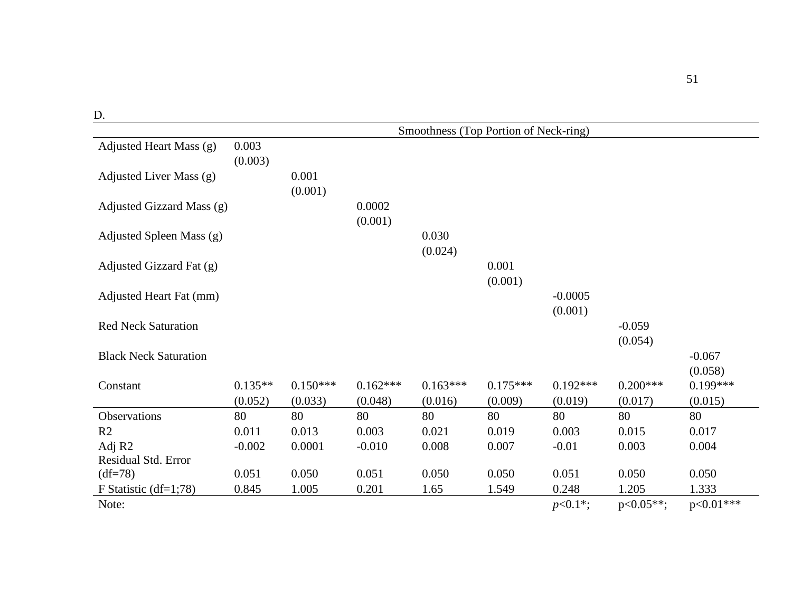|                              | Smoothness (Top Portion of Neck-ring) |                  |                   |                  |                  |                      |                     |                     |
|------------------------------|---------------------------------------|------------------|-------------------|------------------|------------------|----------------------|---------------------|---------------------|
| Adjusted Heart Mass (g)      | 0.003<br>(0.003)                      |                  |                   |                  |                  |                      |                     |                     |
| Adjusted Liver Mass (g)      |                                       | 0.001<br>(0.001) |                   |                  |                  |                      |                     |                     |
| Adjusted Gizzard Mass (g)    |                                       |                  | 0.0002<br>(0.001) |                  |                  |                      |                     |                     |
| Adjusted Spleen Mass (g)     |                                       |                  |                   | 0.030<br>(0.024) |                  |                      |                     |                     |
| Adjusted Gizzard Fat (g)     |                                       |                  |                   |                  | 0.001<br>(0.001) |                      |                     |                     |
| Adjusted Heart Fat (mm)      |                                       |                  |                   |                  |                  | $-0.0005$<br>(0.001) |                     |                     |
| <b>Red Neck Saturation</b>   |                                       |                  |                   |                  |                  |                      | $-0.059$<br>(0.054) |                     |
| <b>Black Neck Saturation</b> |                                       |                  |                   |                  |                  |                      |                     | $-0.067$<br>(0.058) |
| Constant                     | $0.135**$                             | $0.150***$       | $0.162***$        | $0.163***$       | $0.175***$       | $0.192***$           | $0.200***$          | $0.199***$          |
|                              | (0.052)                               | (0.033)          | (0.048)           | (0.016)          | (0.009)          | (0.019)              | (0.017)             | (0.015)             |
| Observations                 | 80                                    | 80               | 80                | 80               | 80               | 80                   | 80                  | 80                  |
| R <sub>2</sub>               | 0.011                                 | 0.013            | 0.003             | 0.021            | 0.019            | 0.003                | 0.015               | 0.017               |
| Adj R2                       | $-0.002$                              | 0.0001           | $-0.010$          | 0.008            | 0.007            | $-0.01$              | 0.003               | 0.004               |
| Residual Std. Error          |                                       |                  |                   |                  |                  |                      |                     |                     |
| $(df=78)$                    | 0.051                                 | 0.050            | 0.051             | 0.050            | 0.050            | 0.051                | 0.050               | 0.050               |
| F Statistic $(df=1;78)$      | 0.845                                 | 1.005            | 0.201             | 1.65             | 1.549            | 0.248                | 1.205               | 1.333               |
| Note:                        |                                       |                  |                   |                  |                  | $p<0.1*$ ;           | $p<0.05**;$         | $p<0.01***$         |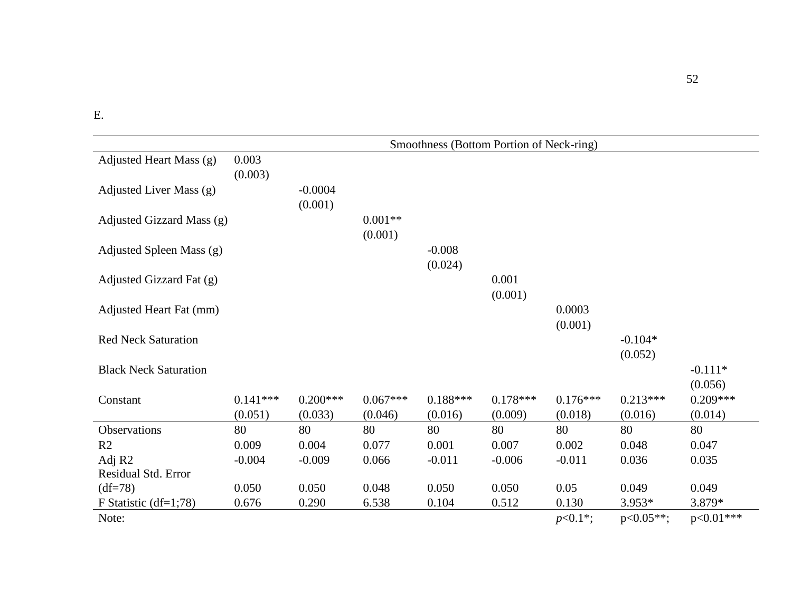|                              | Smoothness (Bottom Portion of Neck-ring) |                      |                      |                     |                  |                   |                      |                      |
|------------------------------|------------------------------------------|----------------------|----------------------|---------------------|------------------|-------------------|----------------------|----------------------|
| Adjusted Heart Mass (g)      | 0.003<br>(0.003)                         |                      |                      |                     |                  |                   |                      |                      |
| Adjusted Liver Mass (g)      |                                          | $-0.0004$<br>(0.001) |                      |                     |                  |                   |                      |                      |
| Adjusted Gizzard Mass (g)    |                                          |                      | $0.001**$<br>(0.001) |                     |                  |                   |                      |                      |
| Adjusted Spleen Mass (g)     |                                          |                      |                      | $-0.008$<br>(0.024) |                  |                   |                      |                      |
| Adjusted Gizzard Fat (g)     |                                          |                      |                      |                     | 0.001<br>(0.001) |                   |                      |                      |
| Adjusted Heart Fat (mm)      |                                          |                      |                      |                     |                  | 0.0003<br>(0.001) |                      |                      |
| <b>Red Neck Saturation</b>   |                                          |                      |                      |                     |                  |                   | $-0.104*$<br>(0.052) |                      |
| <b>Black Neck Saturation</b> |                                          |                      |                      |                     |                  |                   |                      | $-0.111*$<br>(0.056) |
| Constant                     | $0.141***$                               | $0.200***$           | $0.067***$           | $0.188***$          | $0.178***$       | $0.176***$        | $0.213***$           | $0.209***$           |
|                              | (0.051)                                  | (0.033)              | (0.046)              | (0.016)             | (0.009)          | (0.018)           | (0.016)              | (0.014)              |
| Observations                 | 80                                       | 80                   | 80                   | 80                  | 80               | 80                | 80                   | 80                   |
| R <sub>2</sub>               | 0.009                                    | 0.004                | 0.077                | 0.001               | 0.007            | 0.002             | 0.048                | 0.047                |
| Adj R2                       | $-0.004$                                 | $-0.009$             | 0.066                | $-0.011$            | $-0.006$         | $-0.011$          | 0.036                | 0.035                |
| <b>Residual Std. Error</b>   |                                          |                      |                      |                     |                  |                   |                      |                      |
| $(df=78)$                    | 0.050                                    | 0.050                | 0.048                | 0.050               | 0.050            | 0.05              | 0.049                | 0.049                |
| F Statistic $(df=1;78)$      | 0.676                                    | 0.290                | 6.538                | 0.104               | 0.512            | 0.130             | $3.953*$             | 3.879*               |
| Note:                        |                                          |                      |                      |                     |                  | $p<0.1*;$         | $p<0.05**$           | $p<0.01***$          |